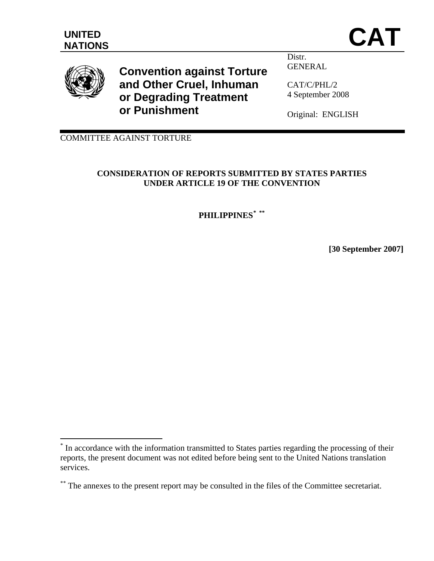UNITED<br>NATIONS **CAT** 



<u>.</u>

**Convention against Torture and Other Cruel, Inhuman or Degrading Treatment or Punishment** 

Distr. GENERAL

CAT/C/PHL/2 4 September 2008

Original: ENGLISH

COMMITTEE AGAINST TORTURE

# **CONSIDERATION OF REPORTS SUBMITTED BY STATES PARTIES UNDER ARTICLE 19 OF THE CONVENTION**

**PHILIPPINES[\\*](#page-0-0) [\\*\\*](#page-0-1)**

**[30 September 2007]** 

<span id="page-0-0"></span><sup>\*</sup> In accordance with the information transmitted to States parties regarding the processing of their reports, the present document was not edited before being sent to the United Nations translation services.

<span id="page-0-1"></span><sup>\*\*</sup> The annexes to the present report may be consulted in the files of the Committee secretariat.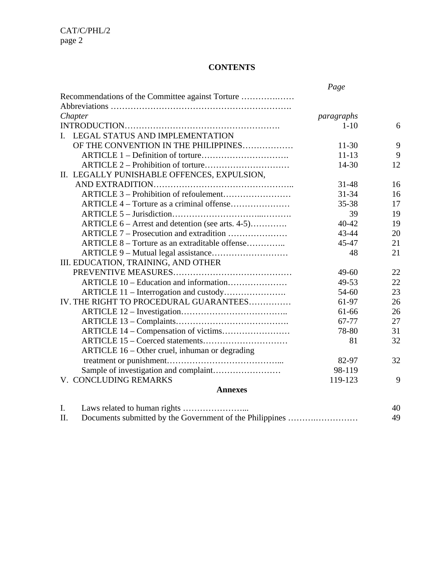# **CONTENTS**

|                                                  | Page       |                 |
|--------------------------------------------------|------------|-----------------|
| Recommendations of the Committee against Torture |            |                 |
|                                                  |            |                 |
| Chapter                                          | paragraphs |                 |
|                                                  | $1 - 10$   | 6               |
| LEGAL STATUS AND IMPLEMENTATION<br>$\mathbf{L}$  |            |                 |
| OF THE CONVENTION IN THE PHILIPPINES             | $11 - 30$  | 9               |
|                                                  | $11 - 13$  | 9               |
|                                                  | 14-30      | 12              |
| II. LEGALLY PUNISHABLE OFFENCES, EXPULSION,      |            |                 |
|                                                  | $31 - 48$  | 16              |
|                                                  | $31 - 34$  | 16              |
| ARTICLE 4 – Torture as a criminal offense        | 35-38      | 17              |
|                                                  | 39         | 19              |
| ARTICLE 6 – Arrest and detention (see arts. 4-5) | $40 - 42$  | 19              |
| ARTICLE 7 – Prosecution and extradition          | 43-44      | 20              |
| ARTICLE 8 – Torture as an extraditable offense   | $45 - 47$  | 21              |
|                                                  | 48         | 21              |
| III. EDUCATION, TRAINING, AND OTHER              |            |                 |
|                                                  | $49 - 60$  | 22              |
| ARTICLE 10 – Education and information           | 49-53      | 22              |
|                                                  | 54-60      | 23              |
| IV. THE RIGHT TO PROCEDURAL GUARANTEES           | 61-97      | 26              |
|                                                  | 61-66      | 26              |
|                                                  | 67-77      | 27              |
| ARTICLE 14 – Compensation of victims             | 78-80      | 31              |
|                                                  | 81         | 32              |
| ARTICLE 16 – Other cruel, inhuman or degrading   |            |                 |
|                                                  | 82-97      | 32              |
|                                                  | 98-119     |                 |
| V. CONCLUDING REMARKS                            | 119-123    | 9               |
| <b>Annexes</b>                                   |            |                 |
| I I awa rolated to human rights                  |            | $\Delta \Omega$ |

|  | 49 |
|--|----|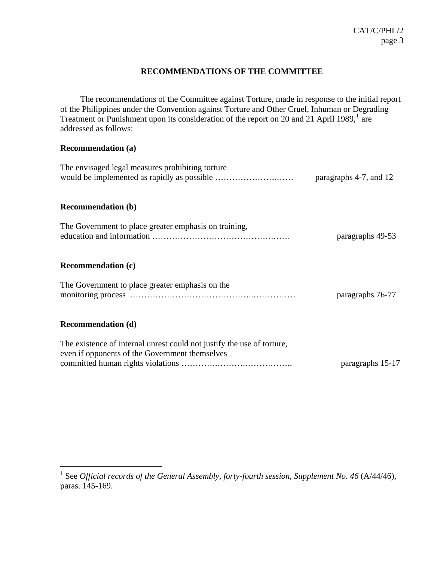# **RECOMMENDATIONS OF THE COMMITTEE**

The recommendations of the Committee against Torture, made in response to the initial report of the Philippines under the Convention against Torture and Other Cruel, Inhuman or Degrading Treatment or Punishment upon its consideration of the report on 20 and 2[1](#page-2-0) April 1989, $<sup>1</sup>$  are</sup> addressed as follows:

## **Recommendation (a)**

1

| The envisaged legal measures prohibiting torture                                                                         | paragraphs 4-7, and 12 |
|--------------------------------------------------------------------------------------------------------------------------|------------------------|
| <b>Recommendation (b)</b>                                                                                                |                        |
| The Government to place greater emphasis on training,                                                                    | paragraphs 49-53       |
| <b>Recommendation (c)</b>                                                                                                |                        |
| The Government to place greater emphasis on the                                                                          | paragraphs 76-77       |
| <b>Recommendation (d)</b>                                                                                                |                        |
| The existence of internal unrest could not justify the use of torture,<br>even if opponents of the Government themselves |                        |
|                                                                                                                          | paragraphs 15-17       |

<span id="page-2-0"></span><sup>&</sup>lt;sup>1</sup> See *Official records of the General Assembly, forty-fourth session, Supplement No. 46 (A/44/46),* paras. 145-169.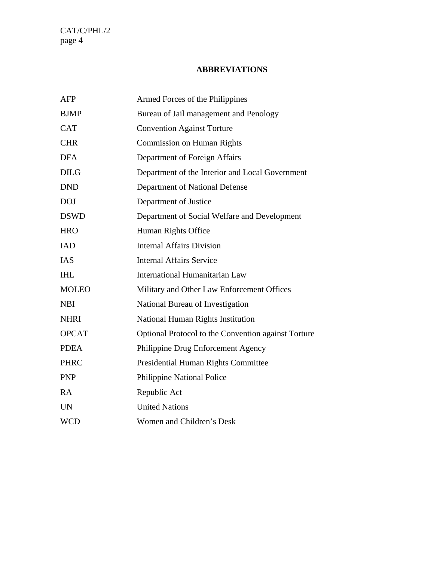# **ABBREVIATIONS**

| <b>AFP</b>   | Armed Forces of the Philippines                     |
|--------------|-----------------------------------------------------|
| <b>BJMP</b>  | Bureau of Jail management and Penology              |
| <b>CAT</b>   | <b>Convention Against Torture</b>                   |
| <b>CHR</b>   | <b>Commission on Human Rights</b>                   |
| <b>DFA</b>   | Department of Foreign Affairs                       |
| <b>DILG</b>  | Department of the Interior and Local Government     |
| <b>DND</b>   | Department of National Defense                      |
| <b>DOJ</b>   | Department of Justice                               |
| <b>DSWD</b>  | Department of Social Welfare and Development        |
| <b>HRO</b>   | Human Rights Office                                 |
| <b>IAD</b>   | <b>Internal Affairs Division</b>                    |
| <b>IAS</b>   | <b>Internal Affairs Service</b>                     |
| <b>IHL</b>   | International Humanitarian Law                      |
| <b>MOLEO</b> | Military and Other Law Enforcement Offices          |
| <b>NBI</b>   | National Bureau of Investigation                    |
| <b>NHRI</b>  | <b>National Human Rights Institution</b>            |
| <b>OPCAT</b> | Optional Protocol to the Convention against Torture |
| <b>PDEA</b>  | Philippine Drug Enforcement Agency                  |
| <b>PHRC</b>  | Presidential Human Rights Committee                 |
| <b>PNP</b>   | Philippine National Police                          |
| <b>RA</b>    | Republic Act                                        |
| <b>UN</b>    | <b>United Nations</b>                               |
| <b>WCD</b>   | Women and Children's Desk                           |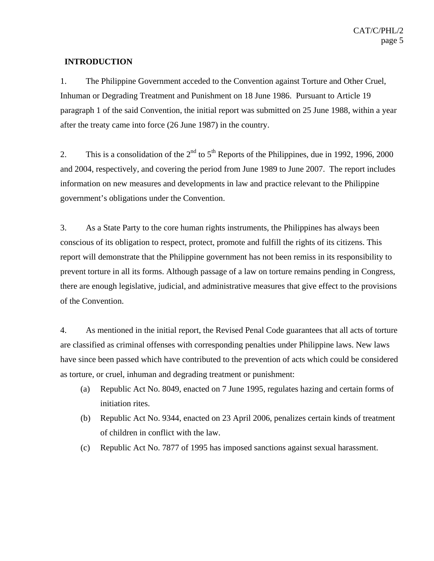## **INTRODUCTION**

1. The Philippine Government acceded to the Convention against Torture and Other Cruel, Inhuman or Degrading Treatment and Punishment on 18 June 1986. Pursuant to Article 19 paragraph 1 of the said Convention, the initial report was submitted on 25 June 1988, within a year after the treaty came into force (26 June 1987) in the country.

2. This is a consolidation of the  $2<sup>nd</sup>$  to  $5<sup>th</sup>$  Reports of the Philippines, due in 1992, 1996, 2000 and 2004, respectively, and covering the period from June 1989 to June 2007. The report includes information on new measures and developments in law and practice relevant to the Philippine government's obligations under the Convention.

3. As a State Party to the core human rights instruments, the Philippines has always been conscious of its obligation to respect, protect, promote and fulfill the rights of its citizens. This report will demonstrate that the Philippine government has not been remiss in its responsibility to prevent torture in all its forms. Although passage of a law on torture remains pending in Congress, there are enough legislative, judicial, and administrative measures that give effect to the provisions of the Convention.

4. As mentioned in the initial report, the Revised Penal Code guarantees that all acts of torture are classified as criminal offenses with corresponding penalties under Philippine laws. New laws have since been passed which have contributed to the prevention of acts which could be considered as torture, or cruel, inhuman and degrading treatment or punishment:

- (a) Republic Act No. 8049, enacted on 7 June 1995, regulates hazing and certain forms of initiation rites.
- (b) Republic Act No. 9344, enacted on 23 April 2006, penalizes certain kinds of treatment of children in conflict with the law.
- (c) Republic Act No. 7877 of 1995 has imposed sanctions against sexual harassment.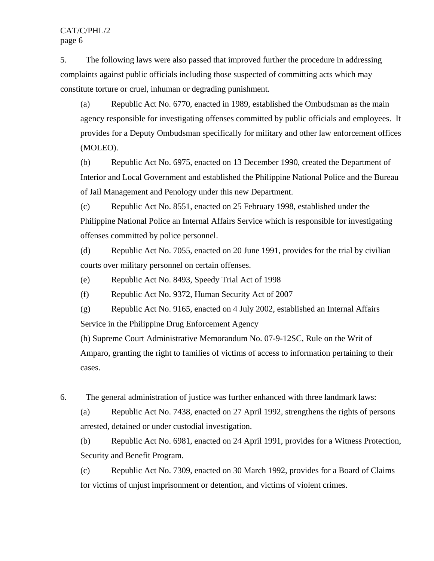5. The following laws were also passed that improved further the procedure in addressing complaints against public officials including those suspected of committing acts which may constitute torture or cruel, inhuman or degrading punishment.

(a) Republic Act No. 6770, enacted in 1989, established the Ombudsman as the main agency responsible for investigating offenses committed by public officials and employees. It provides for a Deputy Ombudsman specifically for military and other law enforcement offices (MOLEO).

(b) Republic Act No. 6975, enacted on 13 December 1990, created the Department of Interior and Local Government and established the Philippine National Police and the Bureau of Jail Management and Penology under this new Department.

(c) Republic Act No. 8551, enacted on 25 February 1998, established under the Philippine National Police an Internal Affairs Service which is responsible for investigating offenses committed by police personnel.

(d) Republic Act No. 7055, enacted on 20 June 1991, provides for the trial by civilian courts over military personnel on certain offenses.

(e) Republic Act No. 8493, Speedy Trial Act of 1998

(f) Republic Act No. 9372, Human Security Act of 2007

(g) Republic Act No. 9165, enacted on 4 July 2002, established an Internal Affairs Service in the Philippine Drug Enforcement Agency

(h) Supreme Court Administrative Memorandum No. 07-9-12SC, Rule on the Writ of Amparo, granting the right to families of victims of access to information pertaining to their cases.

6. The general administration of justice was further enhanced with three landmark laws:

(a) Republic Act No. 7438, enacted on 27 April 1992, strengthens the rights of persons arrested, detained or under custodial investigation.

(b) Republic Act No. 6981, enacted on 24 April 1991, provides for a Witness Protection, Security and Benefit Program.

(c) Republic Act No. 7309, enacted on 30 March 1992, provides for a Board of Claims for victims of unjust imprisonment or detention, and victims of violent crimes.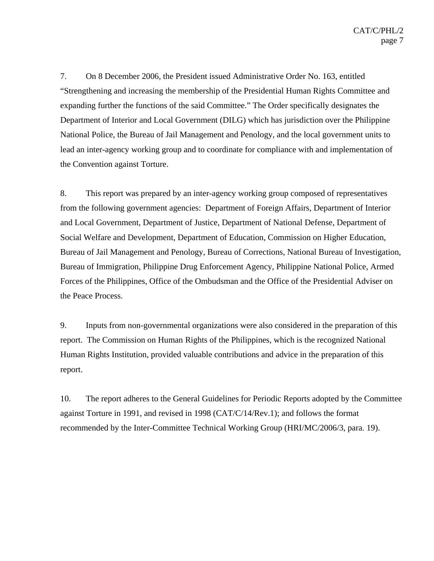7. On 8 December 2006, the President issued Administrative Order No. 163, entitled "Strengthening and increasing the membership of the Presidential Human Rights Committee and expanding further the functions of the said Committee." The Order specifically designates the Department of Interior and Local Government (DILG) which has jurisdiction over the Philippine National Police, the Bureau of Jail Management and Penology, and the local government units to lead an inter-agency working group and to coordinate for compliance with and implementation of the Convention against Torture.

8. This report was prepared by an inter-agency working group composed of representatives from the following government agencies: Department of Foreign Affairs, Department of Interior and Local Government, Department of Justice, Department of National Defense, Department of Social Welfare and Development, Department of Education, Commission on Higher Education, Bureau of Jail Management and Penology, Bureau of Corrections, National Bureau of Investigation, Bureau of Immigration, Philippine Drug Enforcement Agency, Philippine National Police, Armed Forces of the Philippines, Office of the Ombudsman and the Office of the Presidential Adviser on the Peace Process.

9. Inputs from non-governmental organizations were also considered in the preparation of this report. The Commission on Human Rights of the Philippines, which is the recognized National Human Rights Institution, provided valuable contributions and advice in the preparation of this report.

10. The report adheres to the General Guidelines for Periodic Reports adopted by the Committee against Torture in 1991, and revised in 1998 (CAT/C/14/Rev.1); and follows the format recommended by the Inter-Committee Technical Working Group (HRI/MC/2006/3, para. 19).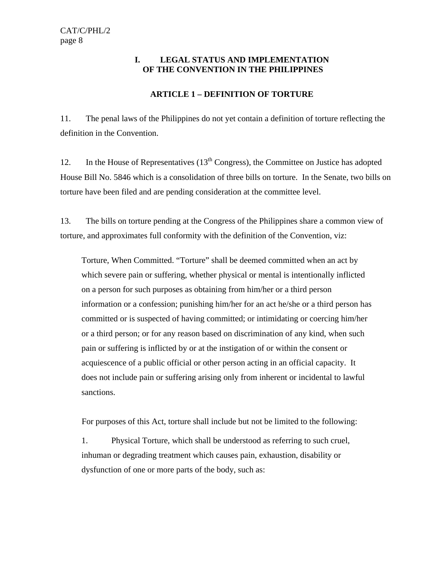# **I. LEGAL STATUS AND IMPLEMENTATION OF THE CONVENTION IN THE PHILIPPINES**

# **ARTICLE 1 – DEFINITION OF TORTURE**

11. The penal laws of the Philippines do not yet contain a definition of torture reflecting the definition in the Convention.

12. In the House of Representatives  $(13<sup>th</sup> Congress)$ , the Committee on Justice has adopted House Bill No. 5846 which is a consolidation of three bills on torture. In the Senate, two bills on torture have been filed and are pending consideration at the committee level.

13. The bills on torture pending at the Congress of the Philippines share a common view of torture, and approximates full conformity with the definition of the Convention, viz:

 Torture, When Committed. "Torture" shall be deemed committed when an act by which severe pain or suffering, whether physical or mental is intentionally inflicted on a person for such purposes as obtaining from him/her or a third person information or a confession; punishing him/her for an act he/she or a third person has committed or is suspected of having committed; or intimidating or coercing him/her or a third person; or for any reason based on discrimination of any kind, when such pain or suffering is inflicted by or at the instigation of or within the consent or acquiescence of a public official or other person acting in an official capacity. It does not include pain or suffering arising only from inherent or incidental to lawful sanctions.

For purposes of this Act, torture shall include but not be limited to the following:

1.Physical Torture, which shall be understood as referring to such cruel, inhuman or degrading treatment which causes pain, exhaustion, disability or dysfunction of one or more parts of the body, such as: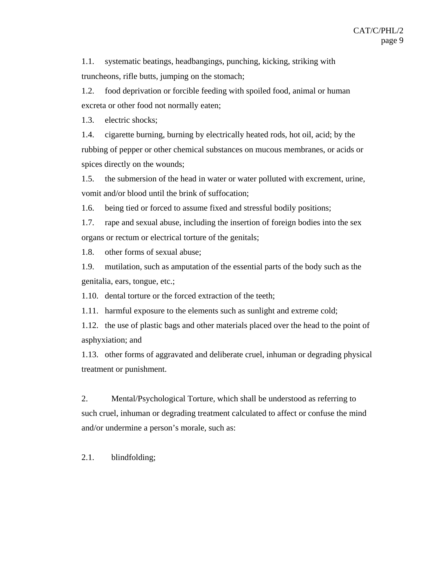1.1. systematic beatings, headbangings, punching, kicking, striking with truncheons, rifle butts, jumping on the stomach;

1.2. food deprivation or forcible feeding with spoiled food, animal or human excreta or other food not normally eaten;

1.3. electric shocks;

1.4. cigarette burning, burning by electrically heated rods, hot oil, acid; by the rubbing of pepper or other chemical substances on mucous membranes, or acids or spices directly on the wounds;

1.5. the submersion of the head in water or water polluted with excrement, urine, vomit and/or blood until the brink of suffocation;

1.6. being tied or forced to assume fixed and stressful bodily positions;

1.7. rape and sexual abuse, including the insertion of foreign bodies into the sex organs or rectum or electrical torture of the genitals;

1.8. other forms of sexual abuse;

1.9. mutilation, such as amputation of the essential parts of the body such as the genitalia, ears, tongue, etc.;

1.10. dental torture or the forced extraction of the teeth;

1.11. harmful exposure to the elements such as sunlight and extreme cold;

1.12. the use of plastic bags and other materials placed over the head to the point of asphyxiation; and

1.13. other forms of aggravated and deliberate cruel, inhuman or degrading physical treatment or punishment.

2. Mental/Psychological Torture, which shall be understood as referring to such cruel, inhuman or degrading treatment calculated to affect or confuse the mind and/or undermine a person's morale, such as:

2.1. blindfolding;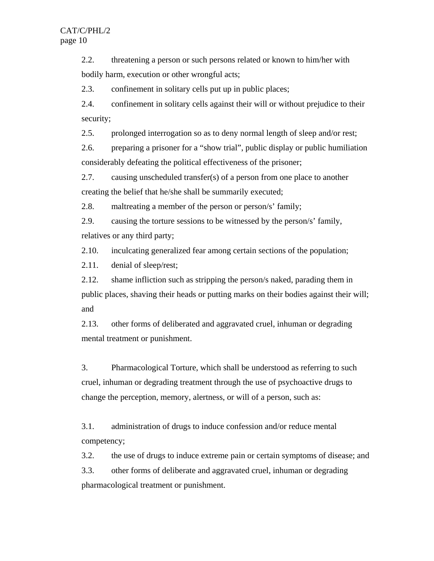2.2. threatening a person or such persons related or known to him/her with bodily harm, execution or other wrongful acts;

2.3. confinement in solitary cells put up in public places;

2.4. confinement in solitary cells against their will or without prejudice to their security;

2.5. prolonged interrogation so as to deny normal length of sleep and/or rest;

2.6. preparing a prisoner for a "show trial", public display or public humiliation considerably defeating the political effectiveness of the prisoner;

2.7. causing unscheduled transfer(s) of a person from one place to another creating the belief that he/she shall be summarily executed;

2.8. maltreating a member of the person or person/s' family;

2.9. causing the torture sessions to be witnessed by the person/s' family, relatives or any third party;

2.10. inculcating generalized fear among certain sections of the population;

2.11. denial of sleep/rest;

2.12. shame infliction such as stripping the person/s naked, parading them in public places, shaving their heads or putting marks on their bodies against their will; and

2.13. other forms of deliberated and aggravated cruel, inhuman or degrading mental treatment or punishment.

3. Pharmacological Torture, which shall be understood as referring to such cruel, inhuman or degrading treatment through the use of psychoactive drugs to change the perception, memory, alertness, or will of a person, such as:

3.1. administration of drugs to induce confession and/or reduce mental competency;

3.2. the use of drugs to induce extreme pain or certain symptoms of disease; and

3.3. other forms of deliberate and aggravated cruel, inhuman or degrading pharmacological treatment or punishment.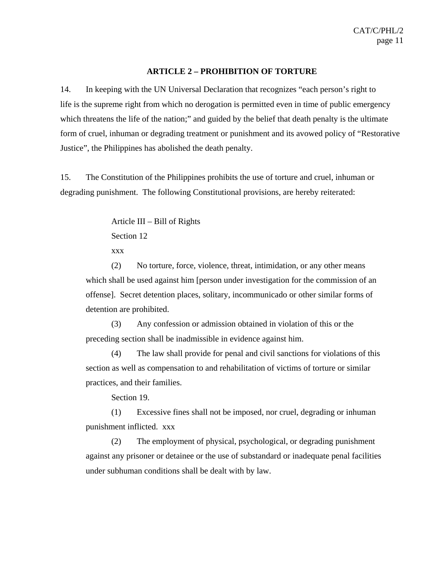#### **ARTICLE 2 – PROHIBITION OF TORTURE**

14. In keeping with the UN Universal Declaration that recognizes "each person's right to life is the supreme right from which no derogation is permitted even in time of public emergency which threatens the life of the nation;" and guided by the belief that death penalty is the ultimate form of cruel, inhuman or degrading treatment or punishment and its avowed policy of "Restorative Justice", the Philippines has abolished the death penalty.

15. The Constitution of the Philippines prohibits the use of torture and cruel, inhuman or degrading punishment. The following Constitutional provisions, are hereby reiterated:

Article III – Bill of Rights

Section 12

xxx

 (2) No torture, force, violence, threat, intimidation, or any other means which shall be used against him [person under investigation for the commission of an offense]. Secret detention places, solitary, incommunicado or other similar forms of detention are prohibited.

 (3) Any confession or admission obtained in violation of this or the preceding section shall be inadmissible in evidence against him.

 (4) The law shall provide for penal and civil sanctions for violations of this section as well as compensation to and rehabilitation of victims of torture or similar practices, and their families.

Section 19.

 (1) Excessive fines shall not be imposed, nor cruel, degrading or inhuman punishment inflicted. xxx

 (2) The employment of physical, psychological, or degrading punishment against any prisoner or detainee or the use of substandard or inadequate penal facilities under subhuman conditions shall be dealt with by law.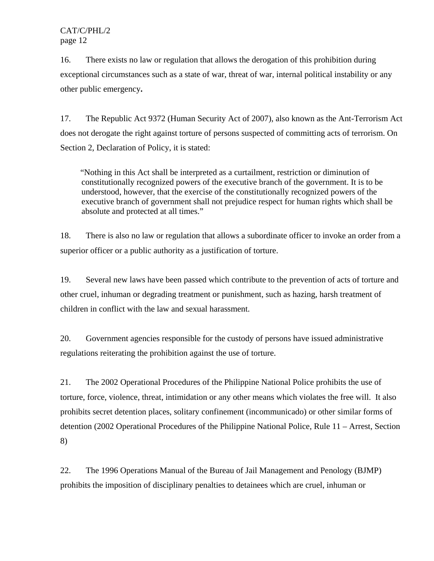16. There exists no law or regulation that allows the derogation of this prohibition during exceptional circumstances such as a state of war, threat of war, internal political instability or any other public emergency**.**

17. The Republic Act 9372 (Human Security Act of 2007), also known as the Ant-Terrorism Act does not derogate the right against torture of persons suspected of committing acts of terrorism. On Section 2, Declaration of Policy, it is stated:

"Nothing in this Act shall be interpreted as a curtailment, restriction or diminution of constitutionally recognized powers of the executive branch of the government. It is to be understood, however, that the exercise of the constitutionally recognized powers of the executive branch of government shall not prejudice respect for human rights which shall be absolute and protected at all times."

18. There is also no law or regulation that allows a subordinate officer to invoke an order from a superior officer or a public authority as a justification of torture.

19. Several new laws have been passed which contribute to the prevention of acts of torture and other cruel, inhuman or degrading treatment or punishment, such as hazing, harsh treatment of children in conflict with the law and sexual harassment.

20. Government agencies responsible for the custody of persons have issued administrative regulations reiterating the prohibition against the use of torture.

21. The 2002 Operational Procedures of the Philippine National Police prohibits the use of torture, force, violence, threat, intimidation or any other means which violates the free will. It also prohibits secret detention places, solitary confinement (incommunicado) or other similar forms of detention (2002 Operational Procedures of the Philippine National Police, Rule 11 – Arrest, Section 8)

22. The 1996 Operations Manual of the Bureau of Jail Management and Penology (BJMP) prohibits the imposition of disciplinary penalties to detainees which are cruel, inhuman or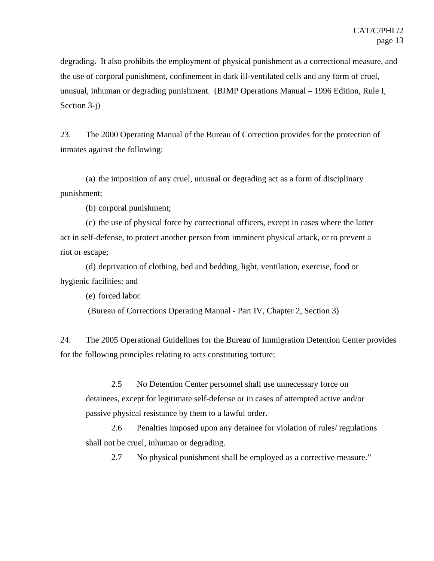degrading. It also prohibits the employment of physical punishment as a correctional measure, and the use of corporal punishment, confinement in dark ill-ventilated cells and any form of cruel, unusual, inhuman or degrading punishment. (BJMP Operations Manual – 1996 Edition, Rule I, Section 3-j)

23. The 2000 Operating Manual of the Bureau of Correction provides for the protection of inmates against the following:

(a) the imposition of any cruel, unusual or degrading act as a form of disciplinary punishment;

(b) corporal punishment;

(c) the use of physical force by correctional officers, except in cases where the latter act in self-defense, to protect another person from imminent physical attack, or to prevent a riot or escape;

(d) deprivation of clothing, bed and bedding, light, ventilation, exercise, food or hygienic facilities; and

(e) forced labor.

(Bureau of Corrections Operating Manual - Part IV, Chapter 2, Section 3)

24. The 2005 Operational Guidelines for the Bureau of Immigration Detention Center provides for the following principles relating to acts constituting torture:

 2.5 No Detention Center personnel shall use unnecessary force on detainees, except for legitimate self-defense or in cases of attempted active and/or passive physical resistance by them to a lawful order.

 2.6 Penalties imposed upon any detainee for violation of rules/ regulations shall not be cruel, inhuman or degrading.

2.7 No physical punishment shall be employed as a corrective measure."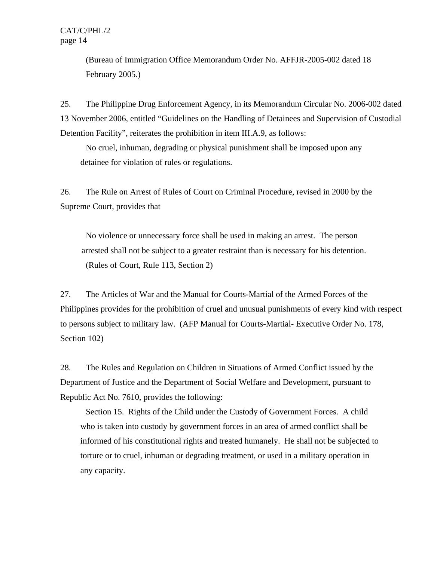(Bureau of Immigration Office Memorandum Order No. AFFJR-2005-002 dated 18 February 2005.)

25. The Philippine Drug Enforcement Agency, in its Memorandum Circular No. 2006-002 dated 13 November 2006, entitled "Guidelines on the Handling of Detainees and Supervision of Custodial Detention Facility", reiterates the prohibition in item III.A.9, as follows:

 No cruel, inhuman, degrading or physical punishment shall be imposed upon any detainee for violation of rules or regulations.

26. The Rule on Arrest of Rules of Court on Criminal Procedure, revised in 2000 by the Supreme Court, provides that

 No violence or unnecessary force shall be used in making an arrest. The person arrested shall not be subject to a greater restraint than is necessary for his detention. (Rules of Court, Rule 113, Section 2)

27. The Articles of War and the Manual for Courts-Martial of the Armed Forces of the Philippines provides for the prohibition of cruel and unusual punishments of every kind with respect to persons subject to military law. (AFP Manual for Courts-Martial- Executive Order No. 178, Section 102)

28. The Rules and Regulation on Children in Situations of Armed Conflict issued by the Department of Justice and the Department of Social Welfare and Development, pursuant to Republic Act No. 7610, provides the following:

Section 15. Rights of the Child under the Custody of Government Forces. A child who is taken into custody by government forces in an area of armed conflict shall be informed of his constitutional rights and treated humanely. He shall not be subjected to torture or to cruel, inhuman or degrading treatment, or used in a military operation in any capacity.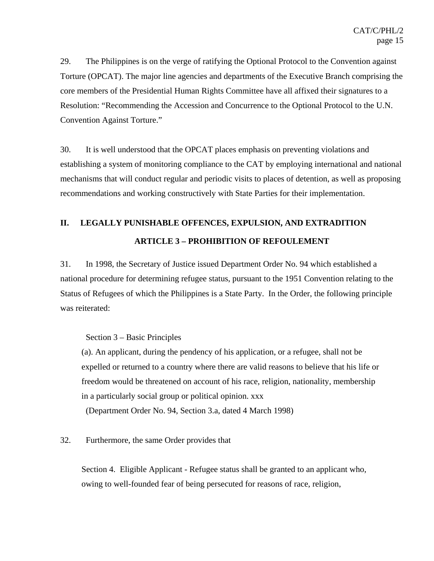29. The Philippines is on the verge of ratifying the Optional Protocol to the Convention against Torture (OPCAT). The major line agencies and departments of the Executive Branch comprising the core members of the Presidential Human Rights Committee have all affixed their signatures to a Resolution: "Recommending the Accession and Concurrence to the Optional Protocol to the U.N. Convention Against Torture."

30. It is well understood that the OPCAT places emphasis on preventing violations and establishing a system of monitoring compliance to the CAT by employing international and national mechanisms that will conduct regular and periodic visits to places of detention, as well as proposing recommendations and working constructively with State Parties for their implementation.

# **II. LEGALLY PUNISHABLE OFFENCES, EXPULSION, AND EXTRADITION ARTICLE 3 – PROHIBITION OF REFOULEMENT**

31. In 1998, the Secretary of Justice issued Department Order No. 94 which established a national procedure for determining refugee status, pursuant to the 1951 Convention relating to the Status of Refugees of which the Philippines is a State Party. In the Order, the following principle was reiterated:

Section 3 – Basic Principles

(a). An applicant, during the pendency of his application, or a refugee, shall not be expelled or returned to a country where there are valid reasons to believe that his life or freedom would be threatened on account of his race, religion, nationality, membership in a particularly social group or political opinion. xxx

(Department Order No. 94, Section 3.a, dated 4 March 1998)

# 32. Furthermore, the same Order provides that

Section 4. Eligible Applicant - Refugee status shall be granted to an applicant who, owing to well-founded fear of being persecuted for reasons of race, religion,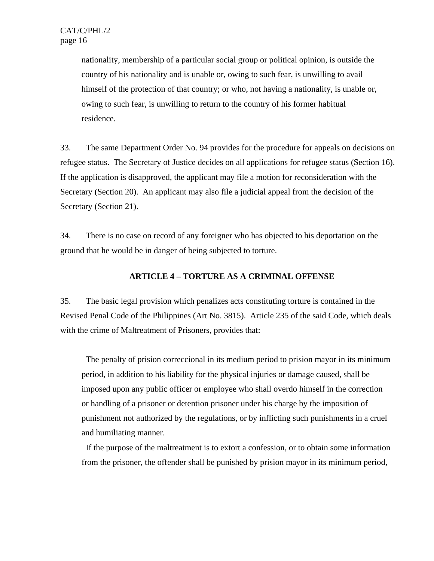nationality, membership of a particular social group or political opinion, is outside the country of his nationality and is unable or, owing to such fear, is unwilling to avail himself of the protection of that country; or who, not having a nationality, is unable or, owing to such fear, is unwilling to return to the country of his former habitual residence.

33. The same Department Order No. 94 provides for the procedure for appeals on decisions on refugee status. The Secretary of Justice decides on all applications for refugee status (Section 16). If the application is disapproved, the applicant may file a motion for reconsideration with the Secretary (Section 20). An applicant may also file a judicial appeal from the decision of the Secretary (Section 21).

34. There is no case on record of any foreigner who has objected to his deportation on the ground that he would be in danger of being subjected to torture.

## **ARTICLE 4 – TORTURE AS A CRIMINAL OFFENSE**

35. The basic legal provision which penalizes acts constituting torture is contained in the Revised Penal Code of the Philippines (Art No. 3815). Article 235 of the said Code, which deals with the crime of Maltreatment of Prisoners, provides that:

 The penalty of prision correccional in its medium period to prision mayor in its minimum period, in addition to his liability for the physical injuries or damage caused, shall be imposed upon any public officer or employee who shall overdo himself in the correction or handling of a prisoner or detention prisoner under his charge by the imposition of punishment not authorized by the regulations, or by inflicting such punishments in a cruel and humiliating manner.

 If the purpose of the maltreatment is to extort a confession, or to obtain some information from the prisoner, the offender shall be punished by prision mayor in its minimum period,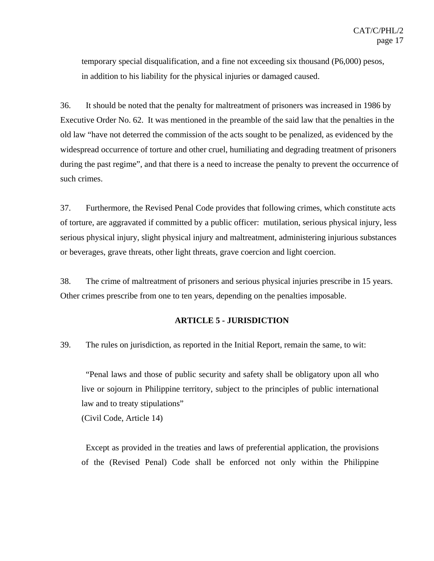temporary special disqualification, and a fine not exceeding six thousand (P6,000) pesos, in addition to his liability for the physical injuries or damaged caused.

36. It should be noted that the penalty for maltreatment of prisoners was increased in 1986 by Executive Order No. 62. It was mentioned in the preamble of the said law that the penalties in the old law "have not deterred the commission of the acts sought to be penalized, as evidenced by the widespread occurrence of torture and other cruel, humiliating and degrading treatment of prisoners during the past regime", and that there is a need to increase the penalty to prevent the occurrence of such crimes.

37. Furthermore, the Revised Penal Code provides that following crimes, which constitute acts of torture, are aggravated if committed by a public officer: mutilation, serious physical injury, less serious physical injury, slight physical injury and maltreatment, administering injurious substances or beverages, grave threats, other light threats, grave coercion and light coercion.

38. The crime of maltreatment of prisoners and serious physical injuries prescribe in 15 years. Other crimes prescribe from one to ten years, depending on the penalties imposable.

#### **ARTICLE 5 - JURISDICTION**

39. The rules on jurisdiction, as reported in the Initial Report, remain the same, to wit:

 "Penal laws and those of public security and safety shall be obligatory upon all who live or sojourn in Philippine territory, subject to the principles of public international law and to treaty stipulations"

(Civil Code, Article 14)

 Except as provided in the treaties and laws of preferential application, the provisions of the (Revised Penal) Code shall be enforced not only within the Philippine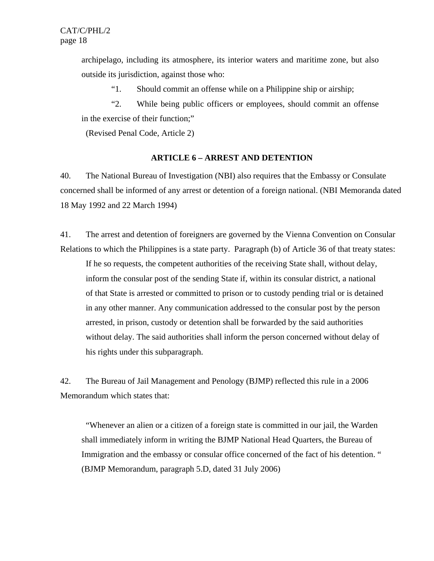archipelago, including its atmosphere, its interior waters and maritime zone, but also outside its jurisdiction, against those who:

"1. Should commit an offense while on a Philippine ship or airship;

 "2. While being public officers or employees, should commit an offense in the exercise of their function;"

(Revised Penal Code, Article 2)

#### **ARTICLE 6 – ARREST AND DETENTION**

40. The National Bureau of Investigation (NBI) also requires that the Embassy or Consulate concerned shall be informed of any arrest or detention of a foreign national. (NBI Memoranda dated 18 May 1992 and 22 March 1994)

41. The arrest and detention of foreigners are governed by the Vienna Convention on Consular Relations to which the Philippines is a state party. Paragraph (b) of Article 36 of that treaty states:

If he so requests, the competent authorities of the receiving State shall, without delay, inform the consular post of the sending State if, within its consular district, a national of that State is arrested or committed to prison or to custody pending trial or is detained in any other manner. Any communication addressed to the consular post by the person arrested, in prison, custody or detention shall be forwarded by the said authorities without delay. The said authorities shall inform the person concerned without delay of his rights under this subparagraph.

42. The Bureau of Jail Management and Penology (BJMP) reflected this rule in a 2006 Memorandum which states that:

 "Whenever an alien or a citizen of a foreign state is committed in our jail, the Warden shall immediately inform in writing the BJMP National Head Quarters, the Bureau of Immigration and the embassy or consular office concerned of the fact of his detention. " (BJMP Memorandum, paragraph 5.D, dated 31 July 2006)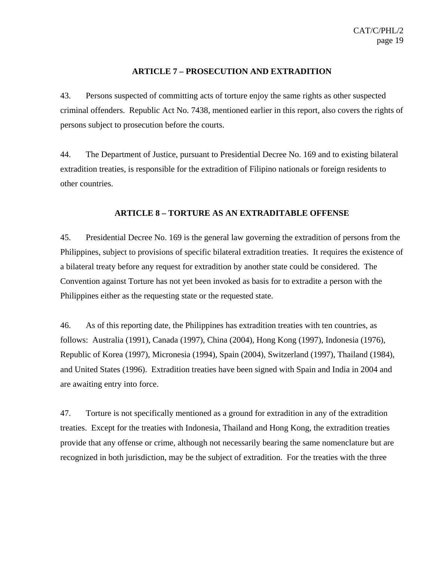## **ARTICLE 7 – PROSECUTION AND EXTRADITION**

43. Persons suspected of committing acts of torture enjoy the same rights as other suspected criminal offenders. Republic Act No. 7438, mentioned earlier in this report, also covers the rights of persons subject to prosecution before the courts.

44. The Department of Justice, pursuant to Presidential Decree No. 169 and to existing bilateral extradition treaties, is responsible for the extradition of Filipino nationals or foreign residents to other countries.

# **ARTICLE 8 – TORTURE AS AN EXTRADITABLE OFFENSE**

45. Presidential Decree No. 169 is the general law governing the extradition of persons from the Philippines, subject to provisions of specific bilateral extradition treaties. It requires the existence of a bilateral treaty before any request for extradition by another state could be considered. The Convention against Torture has not yet been invoked as basis for to extradite a person with the Philippines either as the requesting state or the requested state.

46. As of this reporting date, the Philippines has extradition treaties with ten countries, as follows: Australia (1991), Canada (1997), China (2004), Hong Kong (1997), Indonesia (1976), Republic of Korea (1997), Micronesia (1994), Spain (2004), Switzerland (1997), Thailand (1984), and United States (1996). Extradition treaties have been signed with Spain and India in 2004 and are awaiting entry into force.

47. Torture is not specifically mentioned as a ground for extradition in any of the extradition treaties. Except for the treaties with Indonesia, Thailand and Hong Kong, the extradition treaties provide that any offense or crime, although not necessarily bearing the same nomenclature but are recognized in both jurisdiction, may be the subject of extradition. For the treaties with the three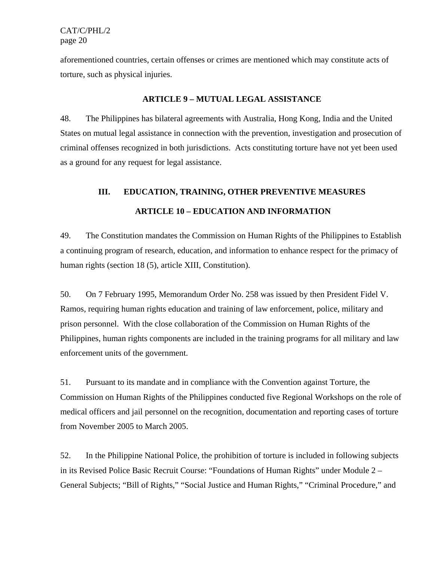aforementioned countries, certain offenses or crimes are mentioned which may constitute acts of torture, such as physical injuries.

# **ARTICLE 9 – MUTUAL LEGAL ASSISTANCE**

48. The Philippines has bilateral agreements with Australia, Hong Kong, India and the United States on mutual legal assistance in connection with the prevention, investigation and prosecution of criminal offenses recognized in both jurisdictions. Acts constituting torture have not yet been used as a ground for any request for legal assistance.

# **III. EDUCATION, TRAINING, OTHER PREVENTIVE MEASURES ARTICLE 10 – EDUCATION AND INFORMATION**

49. The Constitution mandates the Commission on Human Rights of the Philippines to Establish a continuing program of research, education, and information to enhance respect for the primacy of human rights (section 18 (5), article XIII, Constitution).

50. On 7 February 1995, Memorandum Order No. 258 was issued by then President Fidel V. Ramos, requiring human rights education and training of law enforcement, police, military and prison personnel. With the close collaboration of the Commission on Human Rights of the Philippines, human rights components are included in the training programs for all military and law enforcement units of the government.

51. Pursuant to its mandate and in compliance with the Convention against Torture, the Commission on Human Rights of the Philippines conducted five Regional Workshops on the role of medical officers and jail personnel on the recognition, documentation and reporting cases of torture from November 2005 to March 2005.

52. In the Philippine National Police, the prohibition of torture is included in following subjects in its Revised Police Basic Recruit Course: "Foundations of Human Rights" under Module 2 – General Subjects; "Bill of Rights," "Social Justice and Human Rights," "Criminal Procedure," and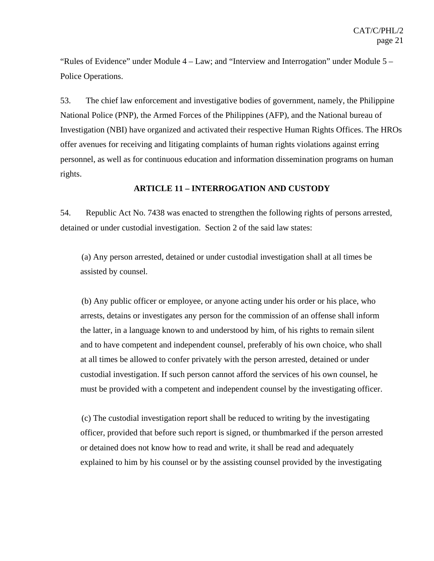"Rules of Evidence" under Module 4 – Law; and "Interview and Interrogation" under Module 5 – Police Operations.

53. The chief law enforcement and investigative bodies of government, namely, the Philippine National Police (PNP), the Armed Forces of the Philippines (AFP), and the National bureau of Investigation (NBI) have organized and activated their respective Human Rights Offices. The HROs offer avenues for receiving and litigating complaints of human rights violations against erring personnel, as well as for continuous education and information dissemination programs on human rights.

#### **ARTICLE 11 – INTERROGATION AND CUSTODY**

54. Republic Act No. 7438 was enacted to strengthen the following rights of persons arrested, detained or under custodial investigation. Section 2 of the said law states:

 (a) Any person arrested, detained or under custodial investigation shall at all times be assisted by counsel.

 (b) Any public officer or employee, or anyone acting under his order or his place, who arrests, detains or investigates any person for the commission of an offense shall inform the latter, in a language known to and understood by him, of his rights to remain silent and to have competent and independent counsel, preferably of his own choice, who shall at all times be allowed to confer privately with the person arrested, detained or under custodial investigation. If such person cannot afford the services of his own counsel, he must be provided with a competent and independent counsel by the investigating officer.

 (c) The custodial investigation report shall be reduced to writing by the investigating officer, provided that before such report is signed, or thumbmarked if the person arrested or detained does not know how to read and write, it shall be read and adequately explained to him by his counsel or by the assisting counsel provided by the investigating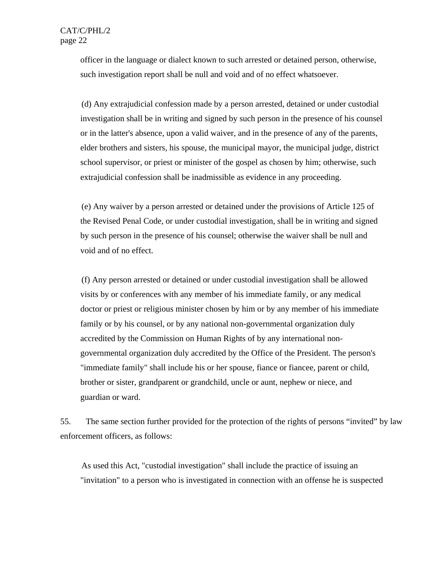officer in the language or dialect known to such arrested or detained person, otherwise, such investigation report shall be null and void and of no effect whatsoever.

 (d) Any extrajudicial confession made by a person arrested, detained or under custodial investigation shall be in writing and signed by such person in the presence of his counsel or in the latter's absence, upon a valid waiver, and in the presence of any of the parents, elder brothers and sisters, his spouse, the municipal mayor, the municipal judge, district school supervisor, or priest or minister of the gospel as chosen by him; otherwise, such extrajudicial confession shall be inadmissible as evidence in any proceeding.

 (e) Any waiver by a person arrested or detained under the provisions of Article 125 of the Revised Penal Code, or under custodial investigation, shall be in writing and signed by such person in the presence of his counsel; otherwise the waiver shall be null and void and of no effect.

 (f) Any person arrested or detained or under custodial investigation shall be allowed visits by or conferences with any member of his immediate family, or any medical doctor or priest or religious minister chosen by him or by any member of his immediate family or by his counsel, or by any national non-governmental organization duly accredited by the Commission on Human Rights of by any international nongovernmental organization duly accredited by the Office of the President. The person's "immediate family" shall include his or her spouse, fiance or fiancee, parent or child, brother or sister, grandparent or grandchild, uncle or aunt, nephew or niece, and guardian or ward.

55. The same section further provided for the protection of the rights of persons "invited" by law enforcement officers, as follows:

 As used this Act, "custodial investigation" shall include the practice of issuing an "invitation" to a person who is investigated in connection with an offense he is suspected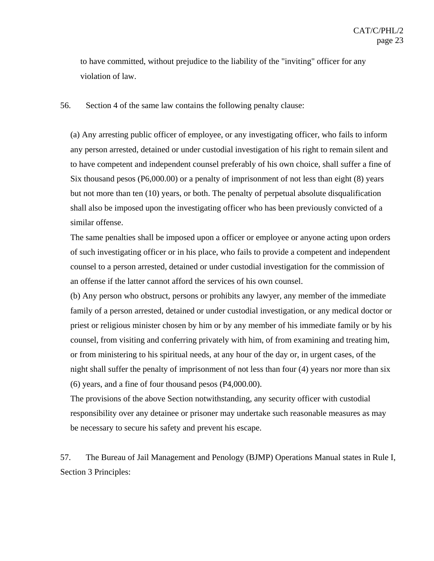to have committed, without prejudice to the liability of the "inviting" officer for any violation of law.

56. Section 4 of the same law contains the following penalty clause:

(a) Any arresting public officer of employee, or any investigating officer, who fails to inform any person arrested, detained or under custodial investigation of his right to remain silent and to have competent and independent counsel preferably of his own choice, shall suffer a fine of Six thousand pesos (P6,000.00) or a penalty of imprisonment of not less than eight (8) years but not more than ten (10) years, or both. The penalty of perpetual absolute disqualification shall also be imposed upon the investigating officer who has been previously convicted of a similar offense.

The same penalties shall be imposed upon a officer or employee or anyone acting upon orders of such investigating officer or in his place, who fails to provide a competent and independent counsel to a person arrested, detained or under custodial investigation for the commission of an offense if the latter cannot afford the services of his own counsel.

(b) Any person who obstruct, persons or prohibits any lawyer, any member of the immediate family of a person arrested, detained or under custodial investigation, or any medical doctor or priest or religious minister chosen by him or by any member of his immediate family or by his counsel, from visiting and conferring privately with him, of from examining and treating him, or from ministering to his spiritual needs, at any hour of the day or, in urgent cases, of the night shall suffer the penalty of imprisonment of not less than four (4) years nor more than six (6) years, and a fine of four thousand pesos (P4,000.00).

The provisions of the above Section notwithstanding, any security officer with custodial responsibility over any detainee or prisoner may undertake such reasonable measures as may be necessary to secure his safety and prevent his escape.

57. The Bureau of Jail Management and Penology (BJMP) Operations Manual states in Rule I, Section 3 Principles: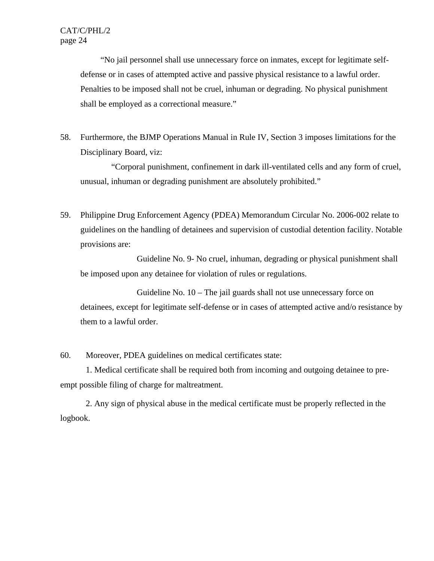"No jail personnel shall use unnecessary force on inmates, except for legitimate selfdefense or in cases of attempted active and passive physical resistance to a lawful order. Penalties to be imposed shall not be cruel, inhuman or degrading. No physical punishment shall be employed as a correctional measure."

58. Furthermore, the BJMP Operations Manual in Rule IV, Section 3 imposes limitations for the Disciplinary Board, viz:

"Corporal punishment, confinement in dark ill-ventilated cells and any form of cruel, unusual, inhuman or degrading punishment are absolutely prohibited."

59. Philippine Drug Enforcement Agency (PDEA) Memorandum Circular No. 2006-002 relate to guidelines on the handling of detainees and supervision of custodial detention facility. Notable provisions are:

 Guideline No. 9- No cruel, inhuman, degrading or physical punishment shall be imposed upon any detainee for violation of rules or regulations.

 Guideline No. 10 – The jail guards shall not use unnecessary force on detainees, except for legitimate self-defense or in cases of attempted active and/o resistance by them to a lawful order.

60. Moreover, PDEA guidelines on medical certificates state:

1. Medical certificate shall be required both from incoming and outgoing detainee to preempt possible filing of charge for maltreatment.

2. Any sign of physical abuse in the medical certificate must be properly reflected in the logbook.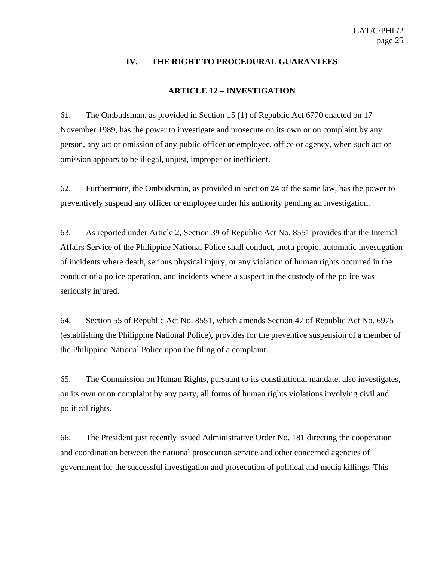#### **IV. THE RIGHT TO PROCEDURAL GUARANTEES**

#### **ARTICLE 12 – INVESTIGATION**

61. The Ombudsman, as provided in Section 15 (1) of Republic Act 6770 enacted on 17 November 1989, has the power to investigate and prosecute on its own or on complaint by any person, any act or omission of any public officer or employee, office or agency, when such act or omission appears to be illegal, unjust, improper or inefficient.

62. Furthermore, the Ombudsman, as provided in Section 24 of the same law, has the power to preventively suspend any officer or employee under his authority pending an investigation.

63. As reported under Article 2, Section 39 of Republic Act No. 8551 provides that the Internal Affairs Service of the Philippine National Police shall conduct, motu propio, automatic investigation of incidents where death, serious physical injury, or any violation of human rights occurred in the conduct of a police operation, and incidents where a suspect in the custody of the police was seriously injured.

64. Section 55 of Republic Act No. 8551, which amends Section 47 of Republic Act No. 6975 (establishing the Philippine National Police), provides for the preventive suspension of a member of the Philippine National Police upon the filing of a complaint.

65. The Commission on Human Rights, pursuant to its constitutional mandate, also investigates, on its own or on complaint by any party, all forms of human rights violations involving civil and political rights.

66. The President just recently issued Administrative Order No. 181 directing the cooperation and coordination between the national prosecution service and other concerned agencies of government for the successful investigation and prosecution of political and media killings. This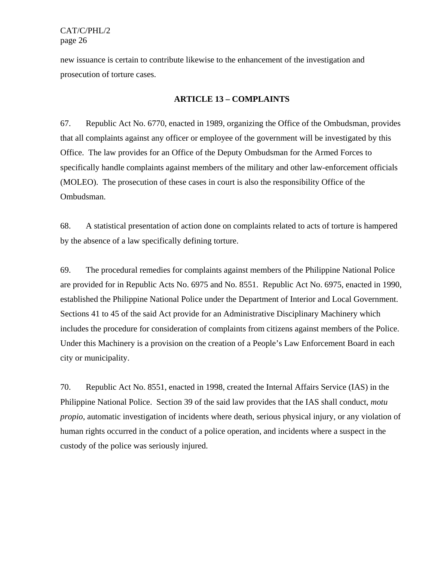new issuance is certain to contribute likewise to the enhancement of the investigation and prosecution of torture cases.

#### **ARTICLE 13 – COMPLAINTS**

67. Republic Act No. 6770, enacted in 1989, organizing the Office of the Ombudsman, provides that all complaints against any officer or employee of the government will be investigated by this Office. The law provides for an Office of the Deputy Ombudsman for the Armed Forces to specifically handle complaints against members of the military and other law-enforcement officials (MOLEO). The prosecution of these cases in court is also the responsibility Office of the Ombudsman.

68. A statistical presentation of action done on complaints related to acts of torture is hampered by the absence of a law specifically defining torture.

69. The procedural remedies for complaints against members of the Philippine National Police are provided for in Republic Acts No. 6975 and No. 8551. Republic Act No. 6975, enacted in 1990, established the Philippine National Police under the Department of Interior and Local Government. Sections 41 to 45 of the said Act provide for an Administrative Disciplinary Machinery which includes the procedure for consideration of complaints from citizens against members of the Police. Under this Machinery is a provision on the creation of a People's Law Enforcement Board in each city or municipality.

70. Republic Act No. 8551, enacted in 1998, created the Internal Affairs Service (IAS) in the Philippine National Police. Section 39 of the said law provides that the IAS shall conduct, *motu propio*, automatic investigation of incidents where death, serious physical injury, or any violation of human rights occurred in the conduct of a police operation, and incidents where a suspect in the custody of the police was seriously injured.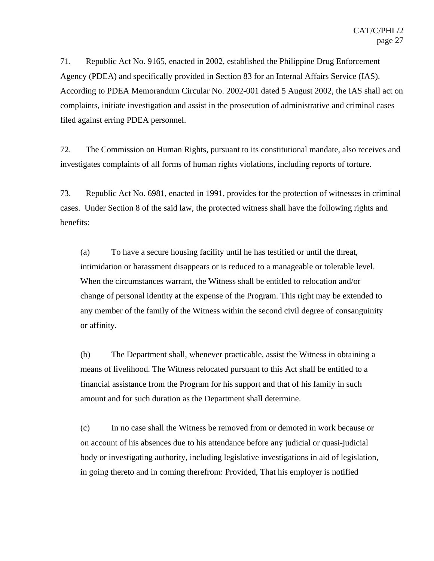71. Republic Act No. 9165, enacted in 2002, established the Philippine Drug Enforcement Agency (PDEA) and specifically provided in Section 83 for an Internal Affairs Service (IAS). According to PDEA Memorandum Circular No. 2002-001 dated 5 August 2002, the IAS shall act on complaints, initiate investigation and assist in the prosecution of administrative and criminal cases filed against erring PDEA personnel.

72. The Commission on Human Rights, pursuant to its constitutional mandate, also receives and investigates complaints of all forms of human rights violations, including reports of torture.

73. Republic Act No. 6981, enacted in 1991, provides for the protection of witnesses in criminal cases. Under Section 8 of the said law, the protected witness shall have the following rights and benefits:

(a) To have a secure housing facility until he has testified or until the threat, intimidation or harassment disappears or is reduced to a manageable or tolerable level. When the circumstances warrant, the Witness shall be entitled to relocation and/or change of personal identity at the expense of the Program. This right may be extended to any member of the family of the Witness within the second civil degree of consanguinity or affinity.

(b) The Department shall, whenever practicable, assist the Witness in obtaining a means of livelihood. The Witness relocated pursuant to this Act shall be entitled to a financial assistance from the Program for his support and that of his family in such amount and for such duration as the Department shall determine.

(c) In no case shall the Witness be removed from or demoted in work because or on account of his absences due to his attendance before any judicial or quasi-judicial body or investigating authority, including legislative investigations in aid of legislation, in going thereto and in coming therefrom: Provided, That his employer is notified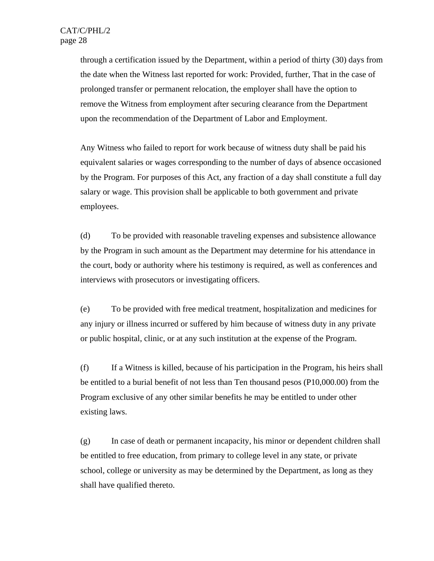through a certification issued by the Department, within a period of thirty (30) days from the date when the Witness last reported for work: Provided, further, That in the case of prolonged transfer or permanent relocation, the employer shall have the option to remove the Witness from employment after securing clearance from the Department upon the recommendation of the Department of Labor and Employment.

Any Witness who failed to report for work because of witness duty shall be paid his equivalent salaries or wages corresponding to the number of days of absence occasioned by the Program. For purposes of this Act, any fraction of a day shall constitute a full day salary or wage. This provision shall be applicable to both government and private employees.

(d) To be provided with reasonable traveling expenses and subsistence allowance by the Program in such amount as the Department may determine for his attendance in the court, body or authority where his testimony is required, as well as conferences and interviews with prosecutors or investigating officers.

(e) To be provided with free medical treatment, hospitalization and medicines for any injury or illness incurred or suffered by him because of witness duty in any private or public hospital, clinic, or at any such institution at the expense of the Program.

(f) If a Witness is killed, because of his participation in the Program, his heirs shall be entitled to a burial benefit of not less than Ten thousand pesos (P10,000.00) from the Program exclusive of any other similar benefits he may be entitled to under other existing laws.

(g) In case of death or permanent incapacity, his minor or dependent children shall be entitled to free education, from primary to college level in any state, or private school, college or university as may be determined by the Department, as long as they shall have qualified thereto.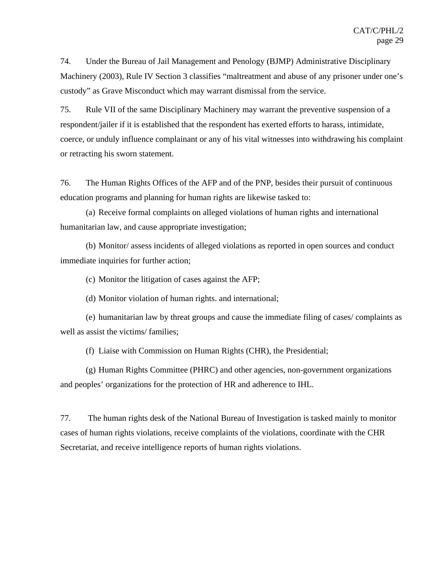74. Under the Bureau of Jail Management and Penology (BJMP) Administrative Disciplinary Machinery (2003), Rule IV Section 3 classifies "maltreatment and abuse of any prisoner under one's custody" as Grave Misconduct which may warrant dismissal from the service.

75. Rule VII of the same Disciplinary Machinery may warrant the preventive suspension of a respondent/jailer if it is established that the respondent has exerted efforts to harass, intimidate, coerce, or unduly influence complainant or any of his vital witnesses into withdrawing his complaint or retracting his sworn statement.

76. The Human Rights Offices of the AFP and of the PNP, besides their pursuit of continuous education programs and planning for human rights are likewise tasked to:

(a) Receive formal complaints on alleged violations of human rights and international humanitarian law, and cause appropriate investigation;

(b) Monitor/ assess incidents of alleged violations as reported in open sources and conduct immediate inquiries for further action;

(c) Monitor the litigation of cases against the AFP;

(d) Monitor violation of human rights. and international;

(e) humanitarian law by threat groups and cause the immediate filing of cases/ complaints as well as assist the victims/ families;

(f) Liaise with Commission on Human Rights (CHR), the Presidential;

(g) Human Rights Committee (PHRC) and other agencies, non-government organizations and peoples' organizations for the protection of HR and adherence to IHL.

77. The human rights desk of the National Bureau of Investigation is tasked mainly to monitor cases of human rights violations, receive complaints of the violations, coordinate with the CHR Secretariat, and receive intelligence reports of human rights violations.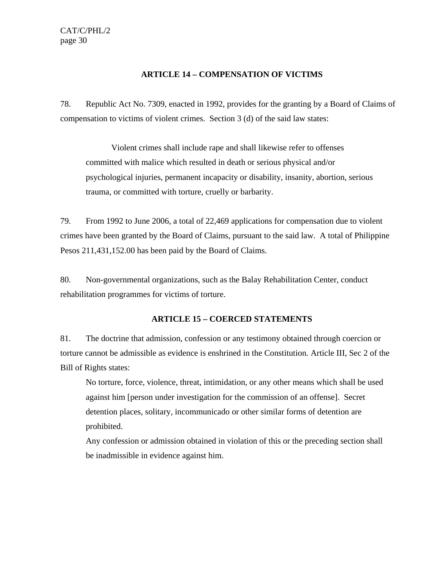# **ARTICLE 14 – COMPENSATION OF VICTIMS**

78. Republic Act No. 7309, enacted in 1992, provides for the granting by a Board of Claims of compensation to victims of violent crimes. Section 3 (d) of the said law states:

Violent crimes shall include rape and shall likewise refer to offenses committed with malice which resulted in death or serious physical and/or psychological injuries, permanent incapacity or disability, insanity, abortion, serious trauma, or committed with torture, cruelly or barbarity.

79. From 1992 to June 2006, a total of 22,469 applications for compensation due to violent crimes have been granted by the Board of Claims, pursuant to the said law. A total of Philippine Pesos 211,431,152.00 has been paid by the Board of Claims.

80. Non-governmental organizations, such as the Balay Rehabilitation Center, conduct rehabilitation programmes for victims of torture.

# **ARTICLE 15 – COERCED STATEMENTS**

81. The doctrine that admission, confession or any testimony obtained through coercion or torture cannot be admissible as evidence is enshrined in the Constitution. Article III, Sec 2 of the Bill of Rights states:

No torture, force, violence, threat, intimidation, or any other means which shall be used against him [person under investigation for the commission of an offense]. Secret detention places, solitary, incommunicado or other similar forms of detention are prohibited.

Any confession or admission obtained in violation of this or the preceding section shall be inadmissible in evidence against him.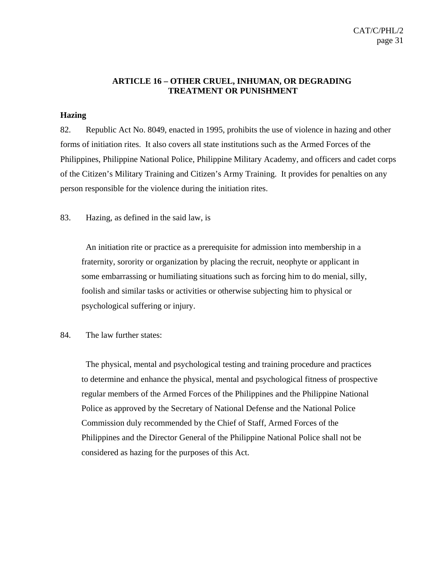## **ARTICLE 16 – OTHER CRUEL, INHUMAN, OR DEGRADING TREATMENT OR PUNISHMENT**

#### **Hazing**

82. Republic Act No. 8049, enacted in 1995, prohibits the use of violence in hazing and other forms of initiation rites. It also covers all state institutions such as the Armed Forces of the Philippines, Philippine National Police, Philippine Military Academy, and officers and cadet corps of the Citizen's Military Training and Citizen's Army Training. It provides for penalties on any person responsible for the violence during the initiation rites.

83. Hazing, as defined in the said law, is

 An initiation rite or practice as a prerequisite for admission into membership in a fraternity, sorority or organization by placing the recruit, neophyte or applicant in some embarrassing or humiliating situations such as forcing him to do menial, silly, foolish and similar tasks or activities or otherwise subjecting him to physical or psychological suffering or injury.

84. The law further states:

 The physical, mental and psychological testing and training procedure and practices to determine and enhance the physical, mental and psychological fitness of prospective regular members of the Armed Forces of the Philippines and the Philippine National Police as approved by the Secretary of National Defense and the National Police Commission duly recommended by the Chief of Staff, Armed Forces of the Philippines and the Director General of the Philippine National Police shall not be considered as hazing for the purposes of this Act.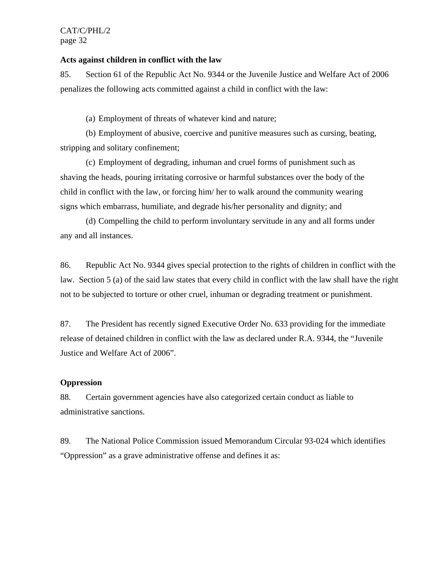#### **Acts against children in conflict with the law**

85. Section 61 of the Republic Act No. 9344 or the Juvenile Justice and Welfare Act of 2006 penalizes the following acts committed against a child in conflict with the law:

(a) Employment of threats of whatever kind and nature;

(b) Employment of abusive, coercive and punitive measures such as cursing, beating, stripping and solitary confinement;

(c) Employment of degrading, inhuman and cruel forms of punishment such as shaving the heads, pouring irritating corrosive or harmful substances over the body of the child in conflict with the law, or forcing him/ her to walk around the community wearing signs which embarrass, humiliate, and degrade his/her personality and dignity; and

(d) Compelling the child to perform involuntary servitude in any and all forms under any and all instances.

86. Republic Act No. 9344 gives special protection to the rights of children in conflict with the law. Section 5 (a) of the said law states that every child in conflict with the law shall have the right not to be subjected to torture or other cruel, inhuman or degrading treatment or punishment.

87. The President has recently signed Executive Order No. 633 providing for the immediate release of detained children in conflict with the law as declared under R.A. 9344, the "Juvenile Justice and Welfare Act of 2006".

#### **Oppression**

88. Certain government agencies have also categorized certain conduct as liable to administrative sanctions.

89. The National Police Commission issued Memorandum Circular 93-024 which identifies "Oppression" as a grave administrative offense and defines it as: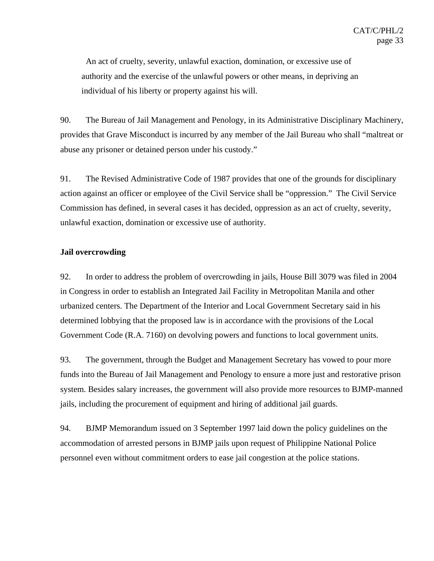An act of cruelty, severity, unlawful exaction, domination, or excessive use of authority and the exercise of the unlawful powers or other means, in depriving an individual of his liberty or property against his will.

90. The Bureau of Jail Management and Penology, in its Administrative Disciplinary Machinery, provides that Grave Misconduct is incurred by any member of the Jail Bureau who shall "maltreat or abuse any prisoner or detained person under his custody."

91. The Revised Administrative Code of 1987 provides that one of the grounds for disciplinary action against an officer or employee of the Civil Service shall be "oppression." The Civil Service Commission has defined, in several cases it has decided, oppression as an act of cruelty, severity, unlawful exaction, domination or excessive use of authority.

#### **Jail overcrowding**

92. In order to address the problem of overcrowding in jails, House Bill 3079 was filed in 2004 in Congress in order to establish an Integrated Jail Facility in Metropolitan Manila and other urbanized centers. The Department of the Interior and Local Government Secretary said in his determined lobbying that the proposed law is in accordance with the provisions of the Local Government Code (R.A. 7160) on devolving powers and functions to local government units.

93. The government, through the Budget and Management Secretary has vowed to pour more funds into the Bureau of Jail Management and Penology to ensure a more just and restorative prison system. Besides salary increases, the government will also provide more resources to BJMP-manned jails, including the procurement of equipment and hiring of additional jail guards.

94. BJMP Memorandum issued on 3 September 1997 laid down the policy guidelines on the accommodation of arrested persons in BJMP jails upon request of Philippine National Police personnel even without commitment orders to ease jail congestion at the police stations.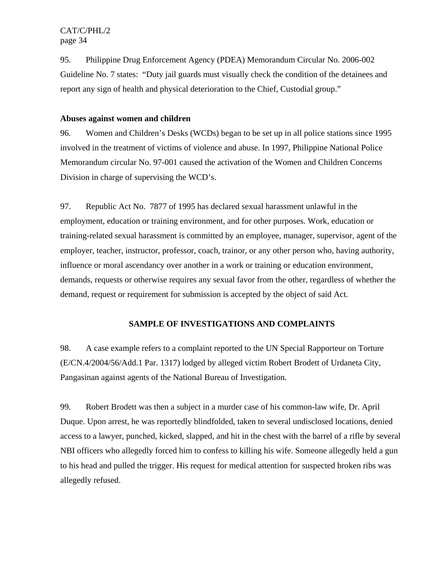95. Philippine Drug Enforcement Agency (PDEA) Memorandum Circular No. 2006-002 Guideline No. 7 states: "Duty jail guards must visually check the condition of the detainees and report any sign of health and physical deterioration to the Chief, Custodial group."

## **Abuses against women and children**

96. Women and Children's Desks (WCDs) began to be set up in all police stations since 1995 involved in the treatment of victims of violence and abuse. In 1997, Philippine National Police Memorandum circular No. 97-001 caused the activation of the Women and Children Concerns Division in charge of supervising the WCD's.

97. Republic Act No. 7877 of 1995 has declared sexual harassment unlawful in the employment, education or training environment, and for other purposes. Work, education or training-related sexual harassment is committed by an employee, manager, supervisor, agent of the employer, teacher, instructor, professor, coach, trainor, or any other person who, having authority, influence or moral ascendancy over another in a work or training or education environment, demands, requests or otherwise requires any sexual favor from the other, regardless of whether the demand, request or requirement for submission is accepted by the object of said Act.

# **SAMPLE OF INVESTIGATIONS AND COMPLAINTS**

98. A case example refers to a complaint reported to the UN Special Rapporteur on Torture (E/CN.4/2004/56/Add.1 Par. 1317) lodged by alleged victim Robert Brodett of Urdaneta City, Pangasinan against agents of the National Bureau of Investigation.

99. Robert Brodett was then a subject in a murder case of his common-law wife, Dr. April Duque. Upon arrest, he was reportedly blindfolded, taken to several undisclosed locations, denied access to a lawyer, punched, kicked, slapped, and hit in the chest with the barrel of a rifle by several NBI officers who allegedly forced him to confess to killing his wife. Someone allegedly held a gun to his head and pulled the trigger. His request for medical attention for suspected broken ribs was allegedly refused.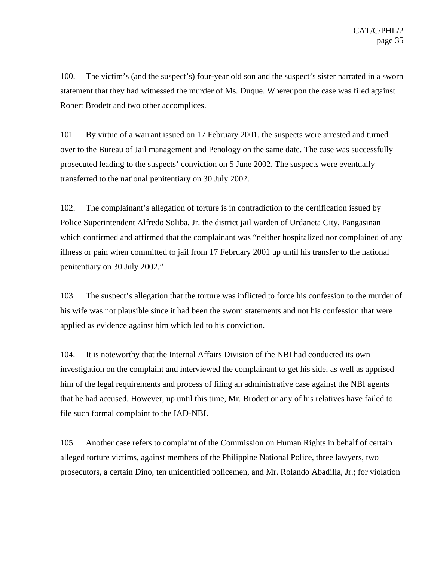100. The victim's (and the suspect's) four-year old son and the suspect's sister narrated in a sworn statement that they had witnessed the murder of Ms. Duque. Whereupon the case was filed against Robert Brodett and two other accomplices.

101. By virtue of a warrant issued on 17 February 2001, the suspects were arrested and turned over to the Bureau of Jail management and Penology on the same date. The case was successfully prosecuted leading to the suspects' conviction on 5 June 2002. The suspects were eventually transferred to the national penitentiary on 30 July 2002.

102. The complainant's allegation of torture is in contradiction to the certification issued by Police Superintendent Alfredo Soliba, Jr. the district jail warden of Urdaneta City, Pangasinan which confirmed and affirmed that the complainant was "neither hospitalized nor complained of any illness or pain when committed to jail from 17 February 2001 up until his transfer to the national penitentiary on 30 July 2002."

103. The suspect's allegation that the torture was inflicted to force his confession to the murder of his wife was not plausible since it had been the sworn statements and not his confession that were applied as evidence against him which led to his conviction.

104. It is noteworthy that the Internal Affairs Division of the NBI had conducted its own investigation on the complaint and interviewed the complainant to get his side, as well as apprised him of the legal requirements and process of filing an administrative case against the NBI agents that he had accused. However, up until this time, Mr. Brodett or any of his relatives have failed to file such formal complaint to the IAD-NBI.

105. Another case refers to complaint of the Commission on Human Rights in behalf of certain alleged torture victims, against members of the Philippine National Police, three lawyers, two prosecutors, a certain Dino, ten unidentified policemen, and Mr. Rolando Abadilla, Jr.; for violation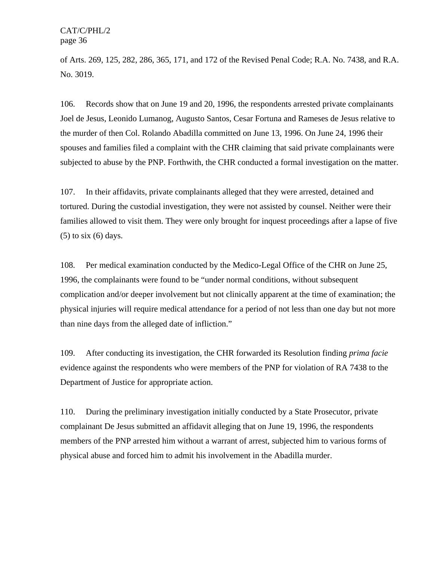of Arts. 269, 125, 282, 286, 365, 171, and 172 of the Revised Penal Code; R.A. No. 7438, and R.A. No. 3019.

106. Records show that on June 19 and 20, 1996, the respondents arrested private complainants Joel de Jesus, Leonido Lumanog, Augusto Santos, Cesar Fortuna and Rameses de Jesus relative to the murder of then Col. Rolando Abadilla committed on June 13, 1996. On June 24, 1996 their spouses and families filed a complaint with the CHR claiming that said private complainants were subjected to abuse by the PNP. Forthwith, the CHR conducted a formal investigation on the matter.

107. In their affidavits, private complainants alleged that they were arrested, detained and tortured. During the custodial investigation, they were not assisted by counsel. Neither were their families allowed to visit them. They were only brought for inquest proceedings after a lapse of five  $(5)$  to six  $(6)$  days.

108. Per medical examination conducted by the Medico-Legal Office of the CHR on June 25, 1996, the complainants were found to be "under normal conditions, without subsequent complication and/or deeper involvement but not clinically apparent at the time of examination; the physical injuries will require medical attendance for a period of not less than one day but not more than nine days from the alleged date of infliction."

109. After conducting its investigation, the CHR forwarded its Resolution finding *prima facie* evidence against the respondents who were members of the PNP for violation of RA 7438 to the Department of Justice for appropriate action.

110. During the preliminary investigation initially conducted by a State Prosecutor, private complainant De Jesus submitted an affidavit alleging that on June 19, 1996, the respondents members of the PNP arrested him without a warrant of arrest, subjected him to various forms of physical abuse and forced him to admit his involvement in the Abadilla murder.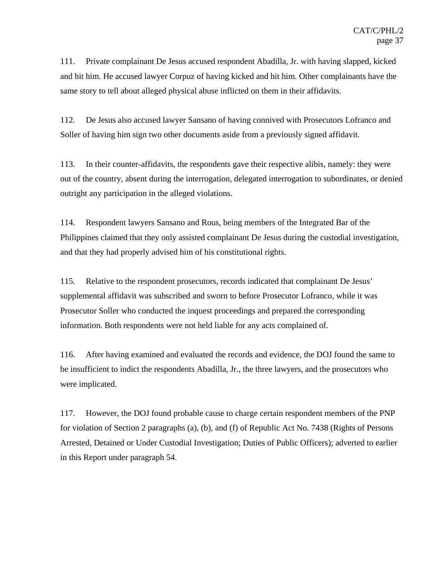111. Private complainant De Jesus accused respondent Abadilla, Jr. with having slapped, kicked and hit him. He accused lawyer Corpuz of having kicked and hit him. Other complainants have the same story to tell about alleged physical abuse inflicted on them in their affidavits.

112. De Jesus also accused lawyer Sansano of having connived with Prosecutors Lofranco and Soller of having him sign two other documents aside from a previously signed affidavit.

113. In their counter-affidavits, the respondents gave their respective alibis, namely: they were out of the country, absent during the interrogation, delegated interrogation to subordinates, or denied outright any participation in the alleged violations.

114. Respondent lawyers Sansano and Rous, being members of the Integrated Bar of the Philippines claimed that they only assisted complainant De Jesus during the custodial investigation, and that they had properly advised him of his constitutional rights.

115. Relative to the respondent prosecutors, records indicated that complainant De Jesus' supplemental affidavit was subscribed and sworn to before Prosecutor Lofranco, while it was Prosecutor Soller who conducted the inquest proceedings and prepared the corresponding information. Both respondents were not held liable for any acts complained of.

116. After having examined and evaluated the records and evidence, the DOJ found the same to be insufficient to indict the respondents Abadilla, Jr., the three lawyers, and the prosecutors who were implicated.

117. However, the DOJ found probable cause to charge certain respondent members of the PNP for violation of Section 2 paragraphs (a), (b), and (f) of Republic Act No. 7438 (Rights of Persons Arrested, Detained or Under Custodial Investigation; Duties of Public Officers); adverted to earlier in this Report under paragraph 54.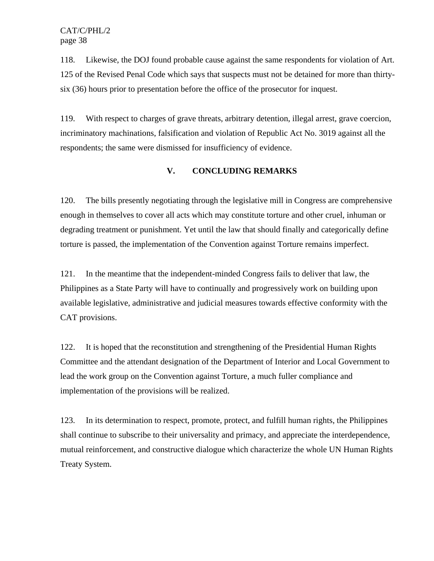118. Likewise, the DOJ found probable cause against the same respondents for violation of Art. 125 of the Revised Penal Code which says that suspects must not be detained for more than thirtysix (36) hours prior to presentation before the office of the prosecutor for inquest.

119. With respect to charges of grave threats, arbitrary detention, illegal arrest, grave coercion, incriminatory machinations, falsification and violation of Republic Act No. 3019 against all the respondents; the same were dismissed for insufficiency of evidence.

# **V. CONCLUDING REMARKS**

120. The bills presently negotiating through the legislative mill in Congress are comprehensive enough in themselves to cover all acts which may constitute torture and other cruel, inhuman or degrading treatment or punishment. Yet until the law that should finally and categorically define torture is passed, the implementation of the Convention against Torture remains imperfect.

121. In the meantime that the independent-minded Congress fails to deliver that law, the Philippines as a State Party will have to continually and progressively work on building upon available legislative, administrative and judicial measures towards effective conformity with the CAT provisions.

122. It is hoped that the reconstitution and strengthening of the Presidential Human Rights Committee and the attendant designation of the Department of Interior and Local Government to lead the work group on the Convention against Torture, a much fuller compliance and implementation of the provisions will be realized.

123. In its determination to respect, promote, protect, and fulfill human rights, the Philippines shall continue to subscribe to their universality and primacy, and appreciate the interdependence, mutual reinforcement, and constructive dialogue which characterize the whole UN Human Rights Treaty System.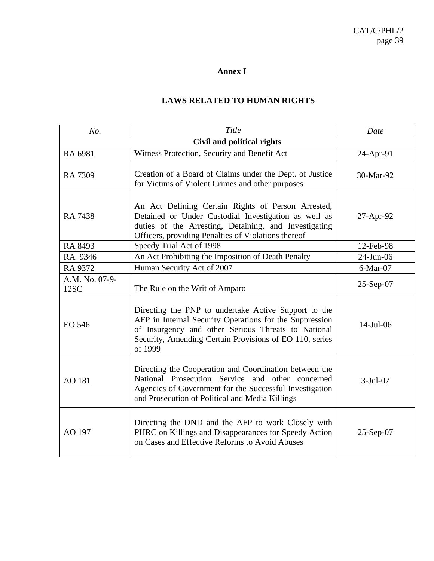# **Annex I**

# **LAWS RELATED TO HUMAN RIGHTS**

| No.                               | Title                                                                                                                                                                                                                                        | Date         |
|-----------------------------------|----------------------------------------------------------------------------------------------------------------------------------------------------------------------------------------------------------------------------------------------|--------------|
| <b>Civil and political rights</b> |                                                                                                                                                                                                                                              |              |
| RA 6981                           | Witness Protection, Security and Benefit Act                                                                                                                                                                                                 | 24-Apr-91    |
| RA 7309                           | Creation of a Board of Claims under the Dept. of Justice<br>for Victims of Violent Crimes and other purposes                                                                                                                                 | 30-Mar-92    |
| <b>RA 7438</b>                    | An Act Defining Certain Rights of Person Arrested,<br>Detained or Under Custodial Investigation as well as<br>duties of the Arresting, Detaining, and Investigating<br>Officers, providing Penalties of Violations thereof                   | 27-Apr-92    |
| RA 8493                           | Speedy Trial Act of 1998                                                                                                                                                                                                                     | 12-Feb-98    |
| RA 9346                           | An Act Prohibiting the Imposition of Death Penalty                                                                                                                                                                                           | 24-Jun-06    |
| RA 9372                           | Human Security Act of 2007                                                                                                                                                                                                                   | $6$ -Mar-07  |
| A.M. No. 07-9-<br>12SC            | The Rule on the Writ of Amparo                                                                                                                                                                                                               | 25-Sep-07    |
| EO 546                            | Directing the PNP to undertake Active Support to the<br>AFP in Internal Security Operations for the Suppression<br>of Insurgency and other Serious Threats to National<br>Security, Amending Certain Provisions of EO 110, series<br>of 1999 | $14$ -Jul-06 |
| AO 181                            | Directing the Cooperation and Coordination between the<br>National Prosecution Service and other concerned<br>Agencies of Government for the Successful Investigation<br>and Prosecution of Political and Media Killings                     | $3-Jul-07$   |
| AO 197                            | Directing the DND and the AFP to work Closely with<br>PHRC on Killings and Disappearances for Speedy Action<br>on Cases and Effective Reforms to Avoid Abuses                                                                                | $25-Sep-07$  |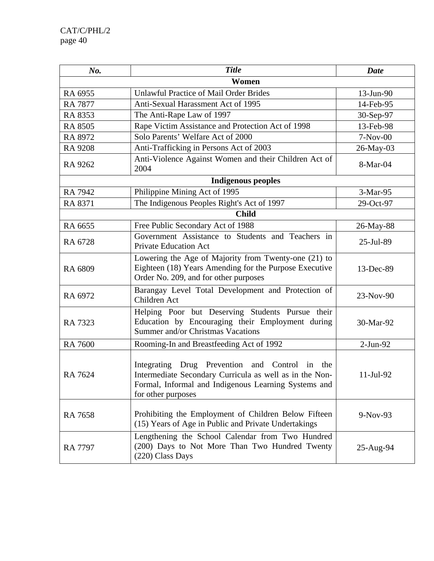| No.            | <b>Title</b>                                                                                                                                                                            | <b>Date</b> |
|----------------|-----------------------------------------------------------------------------------------------------------------------------------------------------------------------------------------|-------------|
| Women          |                                                                                                                                                                                         |             |
| RA 6955        | <b>Unlawful Practice of Mail Order Brides</b>                                                                                                                                           | 13-Jun-90   |
| <b>RA 7877</b> | Anti-Sexual Harassment Act of 1995                                                                                                                                                      | 14-Feb-95   |
| RA 8353        | The Anti-Rape Law of 1997                                                                                                                                                               | 30-Sep-97   |
| <b>RA 8505</b> | Rape Victim Assistance and Protection Act of 1998                                                                                                                                       | 13-Feb-98   |
| RA 8972        | Solo Parents' Welfare Act of 2000                                                                                                                                                       | $7-Nov-00$  |
| <b>RA 9208</b> | Anti-Trafficking in Persons Act of 2003                                                                                                                                                 | 26-May-03   |
| RA 9262        | Anti-Violence Against Women and their Children Act of<br>2004                                                                                                                           | 8-Mar-04    |
|                | <b>Indigenous peoples</b>                                                                                                                                                               |             |
| <b>RA 7942</b> | Philippine Mining Act of 1995                                                                                                                                                           | 3-Mar-95    |
| RA 8371        | The Indigenous Peoples Right's Act of 1997                                                                                                                                              | 29-Oct-97   |
|                | <b>Child</b>                                                                                                                                                                            |             |
| RA 6655        | Free Public Secondary Act of 1988                                                                                                                                                       | 26-May-88   |
| RA 6728        | Government Assistance to Students and Teachers in<br><b>Private Education Act</b>                                                                                                       | 25-Jul-89   |
| RA 6809        | Lowering the Age of Majority from Twenty-one (21) to<br>Eighteen (18) Years Amending for the Purpose Executive<br>Order No. 209, and for other purposes                                 | 13-Dec-89   |
| RA 6972        | Barangay Level Total Development and Protection of<br>Children Act                                                                                                                      | 23-Nov-90   |
| RA 7323        | Helping Poor but Deserving Students Pursue their<br>Education by Encouraging their Employment during<br>Summer and/or Christmas Vacations                                               | 30-Mar-92   |
| <b>RA 7600</b> | Rooming-In and Breastfeeding Act of 1992                                                                                                                                                | $2-Jun-92$  |
| RA 7624        | Integrating Drug Prevention and Control in the<br>Intermediate Secondary Curricula as well as in the Non-<br>Formal, Informal and Indigenous Learning Systems and<br>for other purposes | 11-Jul-92   |
| <b>RA 7658</b> | Prohibiting the Employment of Children Below Fifteen<br>(15) Years of Age in Public and Private Undertakings                                                                            | $9-Nov-93$  |
| <b>RA 7797</b> | Lengthening the School Calendar from Two Hundred<br>(200) Days to Not More Than Two Hundred Twenty<br>(220) Class Days                                                                  | 25-Aug-94   |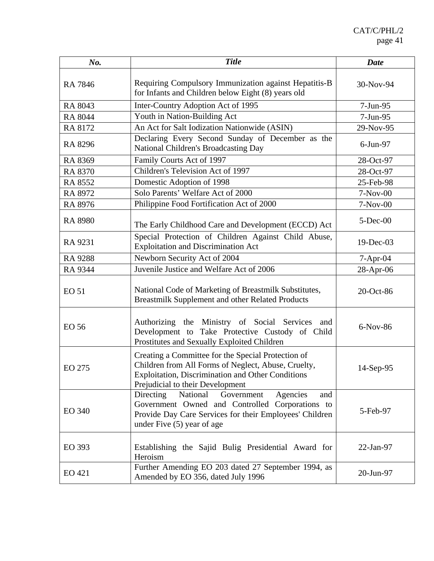| No.            | <b>Title</b>                                                                                                                                                                                              | <b>Date</b>  |
|----------------|-----------------------------------------------------------------------------------------------------------------------------------------------------------------------------------------------------------|--------------|
| <b>RA 7846</b> | Requiring Compulsory Immunization against Hepatitis-B<br>for Infants and Children below Eight (8) years old                                                                                               | 30-Nov-94    |
| RA 8043        | Inter-Country Adoption Act of 1995                                                                                                                                                                        | $7-Jun-95$   |
| <b>RA 8044</b> | Youth in Nation-Building Act                                                                                                                                                                              | 7-Jun-95     |
| RA 8172        | An Act for Salt Iodization Nationwide (ASIN)                                                                                                                                                              | 29-Nov-95    |
| RA 8296        | Declaring Every Second Sunday of December as the<br>National Children's Broadcasting Day                                                                                                                  | 6-Jun-97     |
| RA 8369        | Family Courts Act of 1997                                                                                                                                                                                 | 28-Oct-97    |
| RA 8370        | Children's Television Act of 1997                                                                                                                                                                         | 28-Oct-97    |
| RA 8552        | Domestic Adoption of 1998                                                                                                                                                                                 | 25-Feb-98    |
| RA 8972        | Solo Parents' Welfare Act of 2000                                                                                                                                                                         | $7-Nov-00$   |
| RA 8976        | Philippine Food Fortification Act of 2000                                                                                                                                                                 | $7-Nov-00$   |
| <b>RA 8980</b> | The Early Childhood Care and Development (ECCD) Act                                                                                                                                                       | $5$ -Dec-00  |
| RA 9231        | Special Protection of Children Against Child Abuse,<br><b>Exploitation and Discrimination Act</b>                                                                                                         | $19$ -Dec-03 |
| <b>RA 9288</b> | Newborn Security Act of 2004                                                                                                                                                                              | $7-Apr-04$   |
| RA 9344        | Juvenile Justice and Welfare Act of 2006                                                                                                                                                                  | 28-Apr-06    |
| <b>EO 51</b>   | National Code of Marketing of Breastmilk Substitutes,<br>Breastmilk Supplement and other Related Products                                                                                                 | 20-Oct-86    |
| <b>EO 56</b>   | Authorizing the Ministry of Social Services<br>and<br>Development to Take Protective Custody of Child<br>Prostitutes and Sexually Exploited Children                                                      | 6-Nov-86     |
| <b>EO 275</b>  | Creating a Committee for the Special Protection of<br>Children from All Forms of Neglect, Abuse, Cruelty,<br><b>Exploitation, Discrimination and Other Conditions</b><br>Prejudicial to their Development | 14-Sep-95    |
| <b>EO 340</b>  | Agencies<br>Directing<br>National<br>Government<br>and<br>Government Owned and Controlled Corporations to<br>Provide Day Care Services for their Employees' Children<br>under Five (5) year of age        | 5-Feb-97     |
| EO 393         | Establishing the Sajid Bulig Presidential Award for<br>Heroism                                                                                                                                            | 22-Jan-97    |
| EO 421         | Further Amending EO 203 dated 27 September 1994, as<br>Amended by EO 356, dated July 1996                                                                                                                 | 20-Jun-97    |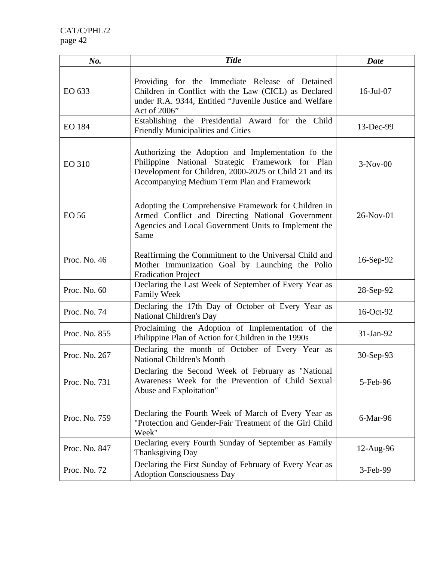| No.           | <b>Title</b>                                                                                                                                                                                                     | Date            |
|---------------|------------------------------------------------------------------------------------------------------------------------------------------------------------------------------------------------------------------|-----------------|
| EO 633        | Providing for the Immediate Release of Detained<br>Children in Conflict with the Law (CICL) as Declared<br>under R.A. 9344, Entitled "Juvenile Justice and Welfare<br>Act of 2006"                               | $16$ -Jul $-07$ |
| <b>EO 184</b> | Establishing the Presidential Award for the Child<br><b>Friendly Municipalities and Cities</b>                                                                                                                   | 13-Dec-99       |
| <b>EO 310</b> | Authorizing the Adoption and Implementation fo the<br>Philippine National Strategic Framework for Plan<br>Development for Children, 2000-2025 or Child 21 and its<br>Accompanying Medium Term Plan and Framework | $3-Nov-00$      |
| EO 56         | Adopting the Comprehensive Framework for Children in<br>Armed Conflict and Directing National Government<br>Agencies and Local Government Units to Implement the<br>Same                                         | 26-Nov-01       |
| Proc. No. 46  | Reaffirming the Commitment to the Universal Child and<br>Mother Immunization Goal by Launching the Polio<br><b>Eradication Project</b>                                                                           | 16-Sep-92       |
| Proc. No. 60  | Declaring the Last Week of September of Every Year as<br><b>Family Week</b>                                                                                                                                      | 28-Sep-92       |
| Proc. No. 74  | Declaring the 17th Day of October of Every Year as<br>National Children's Day                                                                                                                                    | 16-Oct-92       |
| Proc. No. 855 | Proclaiming the Adoption of Implementation of the<br>Philippine Plan of Action for Children in the 1990s                                                                                                         | 31-Jan-92       |
| Proc. No. 267 | Declaring the month of October of Every Year as<br>National Children's Month                                                                                                                                     | 30-Sep-93       |
| Proc. No. 731 | Declaring the Second Week of February as "National<br>Awareness Week for the Prevention of Child Sexual<br>Abuse and Exploitation"                                                                               | 5-Feb-96        |
| Proc. No. 759 | Declaring the Fourth Week of March of Every Year as<br>"Protection and Gender-Fair Treatment of the Girl Child<br>Week"                                                                                          | 6-Mar-96        |
| Proc. No. 847 | Declaring every Fourth Sunday of September as Family<br>Thanksgiving Day                                                                                                                                         | $12$ -Aug-96    |
| Proc. No. 72  | Declaring the First Sunday of February of Every Year as<br><b>Adoption Consciousness Day</b>                                                                                                                     | 3-Feb-99        |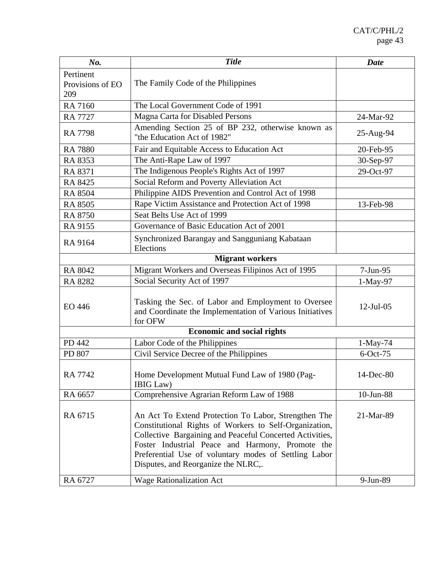| No.                                  | <b>Title</b>                                                                                                                                                                                                                                                                                                                   | <b>Date</b>  |
|--------------------------------------|--------------------------------------------------------------------------------------------------------------------------------------------------------------------------------------------------------------------------------------------------------------------------------------------------------------------------------|--------------|
| Pertinent<br>Provisions of EO<br>209 | The Family Code of the Philippines                                                                                                                                                                                                                                                                                             |              |
| <b>RA 7160</b>                       | The Local Government Code of 1991                                                                                                                                                                                                                                                                                              |              |
| <b>RA 7727</b>                       | Magna Carta for Disabled Persons                                                                                                                                                                                                                                                                                               | 24-Mar-92    |
| <b>RA 7798</b>                       | Amending Section 25 of BP 232, otherwise known as<br>"the Education Act of 1982"                                                                                                                                                                                                                                               | 25-Aug-94    |
| <b>RA 7880</b>                       | Fair and Equitable Access to Education Act                                                                                                                                                                                                                                                                                     | 20-Feb-95    |
| RA 8353                              | The Anti-Rape Law of 1997                                                                                                                                                                                                                                                                                                      | 30-Sep-97    |
| RA 8371                              | The Indigenous People's Rights Act of 1997                                                                                                                                                                                                                                                                                     | 29-Oct-97    |
| RA 8425                              | Social Reform and Poverty Alleviation Act                                                                                                                                                                                                                                                                                      |              |
| <b>RA 8504</b>                       | Philippine AIDS Prevention and Control Act of 1998                                                                                                                                                                                                                                                                             |              |
| <b>RA 8505</b>                       | Rape Victim Assistance and Protection Act of 1998                                                                                                                                                                                                                                                                              | 13-Feb-98    |
| <b>RA 8750</b>                       | Seat Belts Use Act of 1999                                                                                                                                                                                                                                                                                                     |              |
| RA 9155                              | Governance of Basic Education Act of 2001                                                                                                                                                                                                                                                                                      |              |
| RA 9164                              | Synchronized Barangay and Sangguniang Kabataan<br>Elections                                                                                                                                                                                                                                                                    |              |
|                                      | <b>Migrant workers</b>                                                                                                                                                                                                                                                                                                         |              |
| RA 8042                              | Migrant Workers and Overseas Filipinos Act of 1995                                                                                                                                                                                                                                                                             | 7-Jun-95     |
| <b>RA 8282</b>                       | Social Security Act of 1997                                                                                                                                                                                                                                                                                                    | 1-May-97     |
| EO 446                               | Tasking the Sec. of Labor and Employment to Oversee<br>and Coordinate the Implementation of Various Initiatives<br>for OFW                                                                                                                                                                                                     | $12$ -Jul-05 |
|                                      | <b>Economic and social rights</b>                                                                                                                                                                                                                                                                                              |              |
| PD 442                               | Labor Code of the Philippines                                                                                                                                                                                                                                                                                                  | 1-May-74     |
| PD 807                               | Civil Service Decree of the Philippines                                                                                                                                                                                                                                                                                        | $6$ -Oct-75  |
| RA 7742                              | Home Development Mutual Fund Law of 1980 (Pag-<br>IBIG Law)                                                                                                                                                                                                                                                                    | 14-Dec-80    |
| RA 6657                              | Comprehensive Agrarian Reform Law of 1988                                                                                                                                                                                                                                                                                      | 10-Jun-88    |
| RA 6715                              | An Act To Extend Protection To Labor, Strengthen The<br>Constitutional Rights of Workers to Self-Organization,<br>Collective Bargaining and Peaceful Concerted Activities,<br>Foster Industrial Peace and Harmony, Promote the<br>Preferential Use of voluntary modes of Settling Labor<br>Disputes, and Reorganize the NLRC,. | 21-Mar-89    |
| RA 6727                              | <b>Wage Rationalization Act</b>                                                                                                                                                                                                                                                                                                | 9-Jun-89     |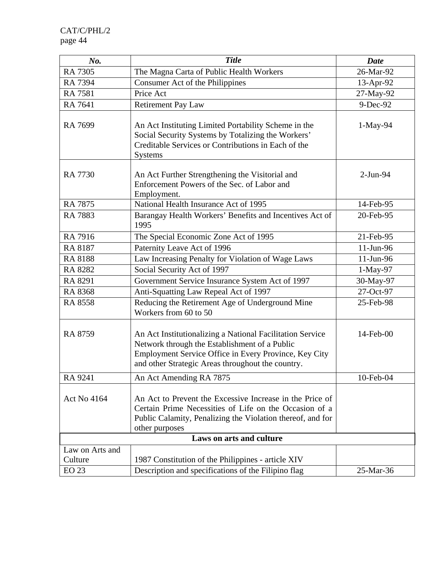| No.                        | <b>Title</b>                                                                                                                                                                                                             | <b>Date</b> |
|----------------------------|--------------------------------------------------------------------------------------------------------------------------------------------------------------------------------------------------------------------------|-------------|
| <b>RA 7305</b>             | The Magna Carta of Public Health Workers                                                                                                                                                                                 | 26-Mar-92   |
| <b>RA 7394</b>             | Consumer Act of the Philippines                                                                                                                                                                                          | 13-Apr-92   |
| <b>RA 7581</b>             | Price Act                                                                                                                                                                                                                | 27-May-92   |
| RA 7641                    | <b>Retirement Pay Law</b>                                                                                                                                                                                                | 9-Dec-92    |
| RA 7699                    | An Act Instituting Limited Portability Scheme in the<br>Social Security Systems by Totalizing the Workers'<br>Creditable Services or Contributions in Each of the<br><b>Systems</b>                                      | 1-May-94    |
| <b>RA 7730</b>             | An Act Further Strengthening the Visitorial and<br>Enforcement Powers of the Sec. of Labor and<br>Employment.                                                                                                            | $2-Jun-94$  |
| <b>RA 7875</b>             | National Health Insurance Act of 1995                                                                                                                                                                                    | 14-Feb-95   |
| <b>RA 7883</b>             | Barangay Health Workers' Benefits and Incentives Act of<br>1995                                                                                                                                                          | 20-Feb-95   |
| RA 7916                    | The Special Economic Zone Act of 1995                                                                                                                                                                                    | 21-Feb-95   |
| <b>RA 8187</b>             | Paternity Leave Act of 1996                                                                                                                                                                                              | 11-Jun-96   |
| <b>RA 8188</b>             | Law Increasing Penalty for Violation of Wage Laws                                                                                                                                                                        | 11-Jun-96   |
| RA 8282                    | Social Security Act of 1997                                                                                                                                                                                              | $1-May-97$  |
| RA 8291                    | Government Service Insurance System Act of 1997                                                                                                                                                                          | 30-May-97   |
| <b>RA 8368</b>             | Anti-Squatting Law Repeal Act of 1997                                                                                                                                                                                    | 27-Oct-97   |
| <b>RA 8558</b>             | Reducing the Retirement Age of Underground Mine<br>Workers from 60 to 50                                                                                                                                                 | 25-Feb-98   |
| RA 8759                    | An Act Institutionalizing a National Facilitation Service<br>Network through the Establishment of a Public<br>Employment Service Office in Every Province, Key City<br>and other Strategic Areas throughout the country. | 14-Feb-00   |
| RA 9241                    | An Act Amending RA 7875                                                                                                                                                                                                  | 10-Feb-04   |
| <b>Act No 4164</b>         | An Act to Prevent the Excessive Increase in the Price of<br>Certain Prime Necessities of Life on the Occasion of a<br>Public Calamity, Penalizing the Violation thereof, and for<br>other purposes                       |             |
|                            | Laws on arts and culture                                                                                                                                                                                                 |             |
| Law on Arts and<br>Culture | 1987 Constitution of the Philippines - article XIV                                                                                                                                                                       |             |
| <b>EO 23</b>               | Description and specifications of the Filipino flag                                                                                                                                                                      | 25-Mar-36   |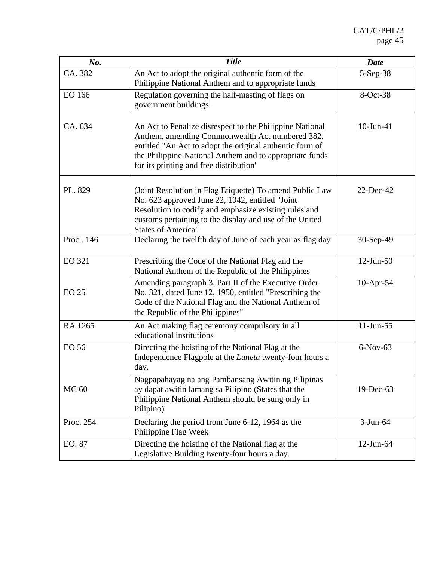| No.           | <b>Title</b>                                                                                                                                                                                                                                                                  | <b>Date</b>  |
|---------------|-------------------------------------------------------------------------------------------------------------------------------------------------------------------------------------------------------------------------------------------------------------------------------|--------------|
| CA. 382       | An Act to adopt the original authentic form of the<br>Philippine National Anthem and to appropriate funds                                                                                                                                                                     | 5-Sep-38     |
| EO 166        | Regulation governing the half-masting of flags on<br>government buildings.                                                                                                                                                                                                    | 8-Oct-38     |
| CA. 634       | An Act to Penalize disrespect to the Philippine National<br>Anthem, amending Commonwealth Act numbered 382,<br>entitled "An Act to adopt the original authentic form of<br>the Philippine National Anthem and to appropriate funds<br>for its printing and free distribution" | 10-Jun-41    |
| PL. 829       | (Joint Resolution in Flag Etiquette) To amend Public Law<br>No. 623 approved June 22, 1942, entitled "Joint<br>Resolution to codify and emphasize existing rules and<br>customs pertaining to the display and use of the United<br><b>States of America"</b>                  | 22-Dec-42    |
| Proc., 146    | Declaring the twelfth day of June of each year as flag day                                                                                                                                                                                                                    | 30-Sep-49    |
| <b>EO 321</b> | Prescribing the Code of the National Flag and the<br>National Anthem of the Republic of the Philippines                                                                                                                                                                       | $12$ -Jun-50 |
| <b>EO 25</b>  | Amending paragraph 3, Part II of the Executive Order<br>No. 321, dated June 12, 1950, entitled "Prescribing the<br>Code of the National Flag and the National Anthem of<br>the Republic of the Philippines"                                                                   | 10-Apr-54    |
| RA 1265       | An Act making flag ceremony compulsory in all<br>educational institutions                                                                                                                                                                                                     | 11-Jun-55    |
| <b>EO 56</b>  | Directing the hoisting of the National Flag at the<br>Independence Flagpole at the <i>Luneta</i> twenty-four hours a<br>day.                                                                                                                                                  | $6-Nov-63$   |
| <b>MC 60</b>  | Nagpapahayag na ang Pambansang Awitin ng Pilipinas<br>ay dapat awitin lamang sa Pilipino (States that the<br>Philippine National Anthem should be sung only in<br>Pilipino)                                                                                                   | 19-Dec-63    |
| Proc. 254     | Declaring the period from June 6-12, 1964 as the<br>Philippine Flag Week                                                                                                                                                                                                      | $3-Jun-64$   |
| EO. 87        | Directing the hoisting of the National flag at the<br>Legislative Building twenty-four hours a day.                                                                                                                                                                           | $12$ -Jun-64 |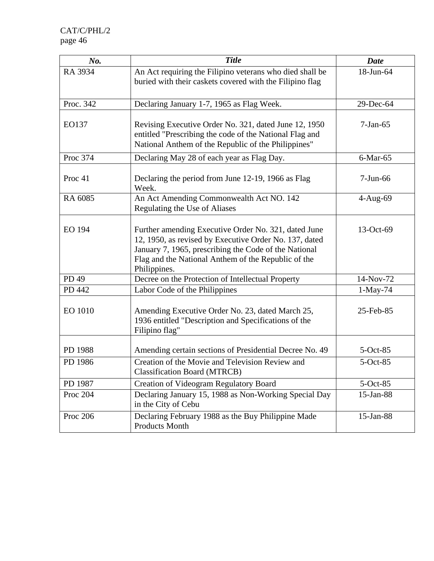| No.                | <b>Title</b>                                                                                                                                                                                                                                   | <b>Date</b>    |
|--------------------|------------------------------------------------------------------------------------------------------------------------------------------------------------------------------------------------------------------------------------------------|----------------|
| RA 3934            | An Act requiring the Filipino veterans who died shall be<br>buried with their caskets covered with the Filipino flag                                                                                                                           | 18-Jun-64      |
| Proc. 342          | Declaring January 1-7, 1965 as Flag Week.                                                                                                                                                                                                      | 29-Dec-64      |
| EO137              | Revising Executive Order No. 321, dated June 12, 1950<br>entitled "Prescribing the code of the National Flag and<br>National Anthem of the Republic of the Philippines"                                                                        | $7-Jan-65$     |
| Proc 374           | Declaring May 28 of each year as Flag Day.                                                                                                                                                                                                     | $6$ -Mar- $65$ |
| Proc <sub>41</sub> | Declaring the period from June 12-19, 1966 as Flag<br>Week.                                                                                                                                                                                    | $7-Jun-66$     |
| RA 6085            | An Act Amending Commonwealth Act NO. 142<br>Regulating the Use of Aliases                                                                                                                                                                      | 4-Aug-69       |
| EO 194             | Further amending Executive Order No. 321, dated June<br>12, 1950, as revised by Executive Order No. 137, dated<br>January 7, 1965, prescribing the Code of the National<br>Flag and the National Anthem of the Republic of the<br>Philippines. | 13-Oct-69      |
| PD 49              | Decree on the Protection of Intellectual Property                                                                                                                                                                                              | 14-Nov-72      |
| PD 442             | Labor Code of the Philippines                                                                                                                                                                                                                  | $1-May-74$     |
| <b>EO 1010</b>     | Amending Executive Order No. 23, dated March 25,<br>1936 entitled "Description and Specifications of the<br>Filipino flag"                                                                                                                     | 25-Feb-85      |
| PD 1988            | Amending certain sections of Presidential Decree No. 49                                                                                                                                                                                        | $5$ -Oct-85    |
| PD 1986            | Creation of the Movie and Television Review and<br><b>Classification Board (MTRCB)</b>                                                                                                                                                         | 5-Oct-85       |
| PD 1987            | Creation of Videogram Regulatory Board                                                                                                                                                                                                         | $5$ -Oct-85    |
| Proc 204           | Declaring January 15, 1988 as Non-Working Special Day<br>in the City of Cebu                                                                                                                                                                   | 15-Jan-88      |
| Proc 206           | Declaring February 1988 as the Buy Philippine Made<br><b>Products Month</b>                                                                                                                                                                    | 15-Jan-88      |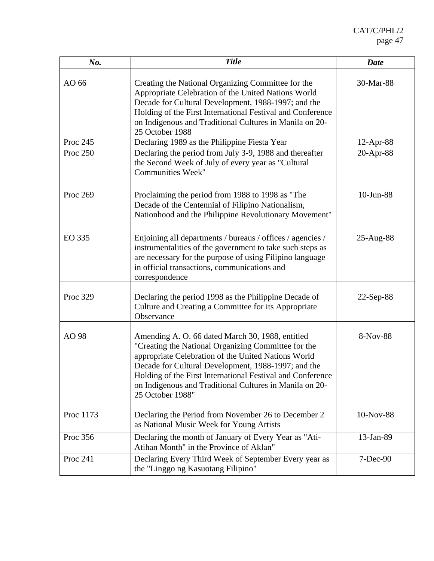| No.       | <b>Title</b>                                                                                                                                                                                                                                                                                                                                                       | <b>Date</b>  |
|-----------|--------------------------------------------------------------------------------------------------------------------------------------------------------------------------------------------------------------------------------------------------------------------------------------------------------------------------------------------------------------------|--------------|
| AO 66     | Creating the National Organizing Committee for the<br>Appropriate Celebration of the United Nations World<br>Decade for Cultural Development, 1988-1997; and the<br>Holding of the First International Festival and Conference<br>on Indigenous and Traditional Cultures in Manila on 20-<br>25 October 1988                                                       | 30-Mar-88    |
| Proc 245  | Declaring 1989 as the Philippine Fiesta Year                                                                                                                                                                                                                                                                                                                       | 12-Apr-88    |
| Proc 250  | Declaring the period from July 3-9, 1988 and thereafter<br>the Second Week of July of every year as "Cultural<br><b>Communities Week"</b>                                                                                                                                                                                                                          | 20-Apr-88    |
| Proc 269  | Proclaiming the period from 1988 to 1998 as "The<br>Decade of the Centennial of Filipino Nationalism,<br>Nationhood and the Philippine Revolutionary Movement"                                                                                                                                                                                                     | 10-Jun-88    |
| EO 335    | Enjoining all departments / bureaus / offices / agencies /<br>instrumentalities of the government to take such steps as<br>are necessary for the purpose of using Filipino language<br>in official transactions, communications and<br>correspondence                                                                                                              | $25-Aug-88$  |
| Proc 329  | Declaring the period 1998 as the Philippine Decade of<br>Culture and Creating a Committee for its Appropriate<br>Observance                                                                                                                                                                                                                                        | $22$ -Sep-88 |
| AO 98     | Amending A. O. 66 dated March 30, 1988, entitled<br>"Creating the National Organizing Committee for the<br>appropriate Celebration of the United Nations World<br>Decade for Cultural Development, 1988-1997; and the<br>Holding of the First International Festival and Conference<br>on Indigenous and Traditional Cultures in Manila on 20-<br>25 October 1988" | 8-Nov-88     |
| Proc 1173 | Declaring the Period from November 26 to December 2<br>as National Music Week for Young Artists                                                                                                                                                                                                                                                                    | 10-Nov-88    |
| Proc 356  | Declaring the month of January of Every Year as "Ati-<br>Atihan Month" in the Province of Aklan"                                                                                                                                                                                                                                                                   | 13-Jan-89    |
| Proc 241  | Declaring Every Third Week of September Every year as<br>the "Linggo ng Kasuotang Filipino"                                                                                                                                                                                                                                                                        | 7-Dec-90     |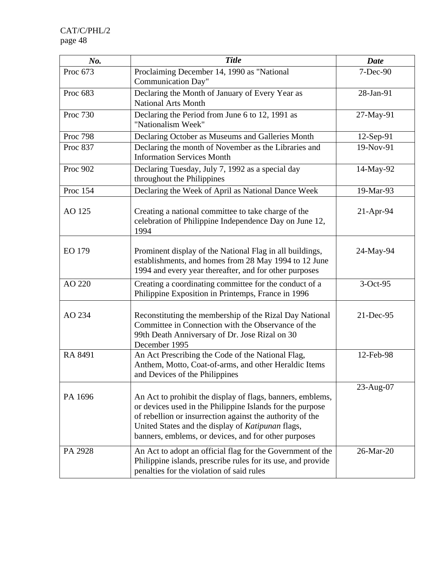| No.             | <b>Title</b>                                                                                                                                                                                                                                                                                      | <b>Date</b>  |
|-----------------|---------------------------------------------------------------------------------------------------------------------------------------------------------------------------------------------------------------------------------------------------------------------------------------------------|--------------|
| Proc 673        | Proclaiming December 14, 1990 as "National<br><b>Communication Day"</b>                                                                                                                                                                                                                           | 7-Dec-90     |
| Proc 683        | Declaring the Month of January of Every Year as<br><b>National Arts Month</b>                                                                                                                                                                                                                     | 28-Jan-91    |
| Proc 730        | Declaring the Period from June 6 to 12, 1991 as<br>"Nationalism Week"                                                                                                                                                                                                                             | 27-May-91    |
| <b>Proc 798</b> | Declaring October as Museums and Galleries Month                                                                                                                                                                                                                                                  | $12$ -Sep-91 |
| Proc 837        | Declaring the month of November as the Libraries and<br><b>Information Services Month</b>                                                                                                                                                                                                         | 19-Nov-91    |
| Proc 902        | Declaring Tuesday, July 7, 1992 as a special day<br>throughout the Philippines                                                                                                                                                                                                                    | 14-May-92    |
| Proc 154        | Declaring the Week of April as National Dance Week                                                                                                                                                                                                                                                | 19-Mar-93    |
| AO 125          | Creating a national committee to take charge of the<br>celebration of Philippine Independence Day on June 12,<br>1994                                                                                                                                                                             | $21-Apr-94$  |
| EO 179          | Prominent display of the National Flag in all buildings,<br>establishments, and homes from 28 May 1994 to 12 June<br>1994 and every year thereafter, and for other purposes                                                                                                                       | 24-May-94    |
| AO 220          | Creating a coordinating committee for the conduct of a<br>Philippine Exposition in Printemps, France in 1996                                                                                                                                                                                      | 3-Oct-95     |
| AO 234          | Reconstituting the membership of the Rizal Day National<br>Committee in Connection with the Observance of the<br>99th Death Anniversary of Dr. Jose Rizal on 30<br>December 1995                                                                                                                  | $21$ -Dec-95 |
| RA 8491         | An Act Prescribing the Code of the National Flag,<br>Anthem, Motto, Coat-of-arms, and other Heraldic Items<br>and Devices of the Philippines                                                                                                                                                      | 12-Feb-98    |
| PA 1696         | An Act to prohibit the display of flags, banners, emblems,<br>or devices used in the Philippine Islands for the purpose<br>of rebellion or insurrection against the authority of the<br>United States and the display of Katipunan flags,<br>banners, emblems, or devices, and for other purposes | $23$ -Aug-07 |
| PA 2928         | An Act to adopt an official flag for the Government of the<br>Philippine islands, prescribe rules for its use, and provide<br>penalties for the violation of said rules                                                                                                                           | 26-Mar-20    |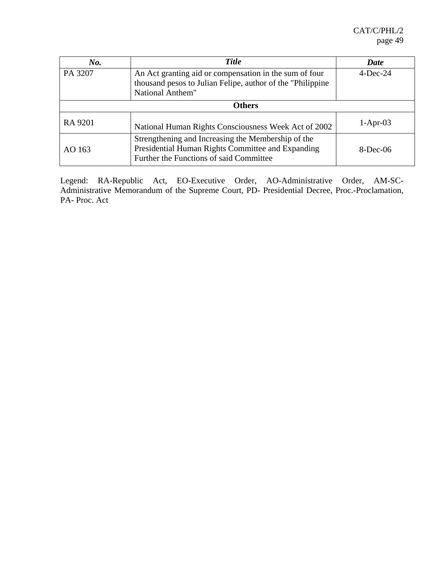| No.           | <b>Title</b>                                                                                                                                       | Date        |  |  |
|---------------|----------------------------------------------------------------------------------------------------------------------------------------------------|-------------|--|--|
| PA 3207       | An Act granting aid or compensation in the sum of four<br>thousand pesos to Julian Felipe, author of the "Philippine"<br>National Anthem"          | $4$ -Dec-24 |  |  |
| <b>Others</b> |                                                                                                                                                    |             |  |  |
| RA 9201       | National Human Rights Consciousness Week Act of 2002                                                                                               | $1-Apr-03$  |  |  |
| AO 163        | Strengthening and Increasing the Membership of the<br>Presidential Human Rights Committee and Expanding<br>Further the Functions of said Committee | $8$ -Dec-06 |  |  |

Legend: RA-Republic Act, EO-Executive Order, AO-Administrative Order, AM-SC-Administrative Memorandum of the Supreme Court, PD- Presidential Decree, Proc.-Proclamation, PA- Proc. Act